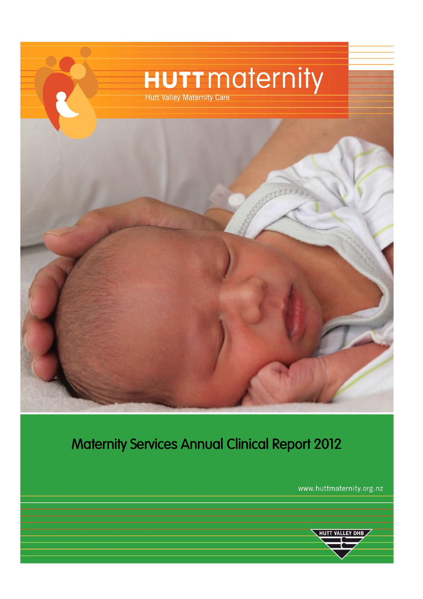

# Maternity Services Annual Clinical Report 2012

www.huttmaternity.org.nz

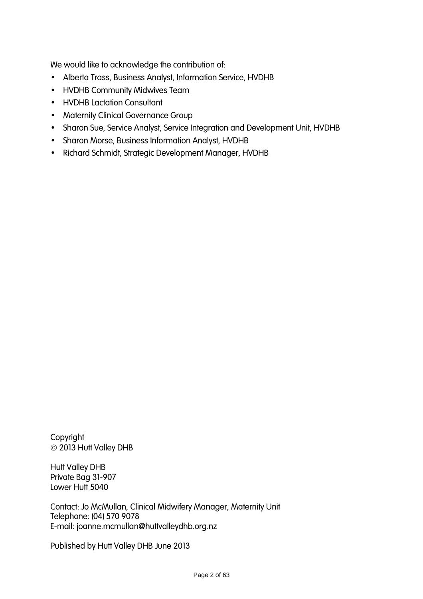We would like to acknowledge the contribution of:

- Alberta Trass, Business Analyst, Information Service, HVDHB
- HVDHB Community Midwives Team
- HVDHB Lactation Consultant
- Maternity Clinical Governance Group
- Sharon Sue, Service Analyst, Service Integration and Development Unit, HVDHB
- Sharon Morse, Business Information Analyst, HVDHB
- Richard Schmidt, Strategic Development Manager, HVDHB

Copyright 2013 Hutt Valley DHB

Hutt Valley DHB Private Bag 31-907 Lower Hutt 5040

Contact: Jo McMullan, Clinical Midwifery Manager, Maternity Unit Telephone: (04) 570 9078 E-mail: joanne.mcmullan@huttvalleydhb.org.nz

Published by Hutt Valley DHB June 2013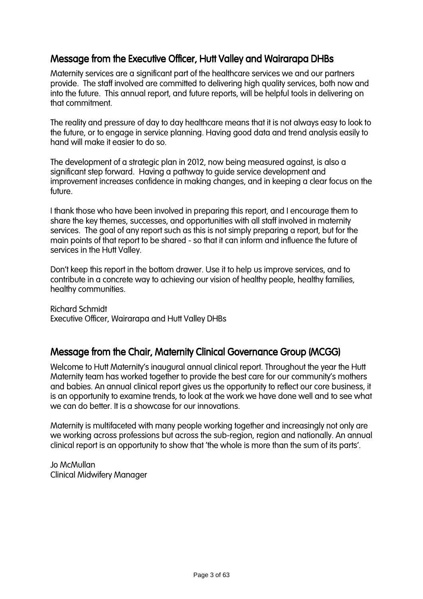### Message from the Executive Officer, Hutt Valley and Wairarapa DHBs

Maternity services are a significant part of the healthcare services we and our partners provide. The staff involved are committed to delivering high quality services, both now and into the future. This annual report, and future reports, will be helpful tools in delivering on that commitment.

The reality and pressure of day to day healthcare means that it is not always easy to look to the future, or to engage in service planning. Having good data and trend analysis easily to hand will make it easier to do so.

The development of a strategic plan in 2012, now being measured against, is also a significant step forward. Having a pathway to guide service development and improvement increases confidence in making changes, and in keeping a clear focus on the future.

I thank those who have been involved in preparing this report, and I encourage them to share the key themes, successes, and opportunities with all staff involved in maternity services. The goal of any report such as this is not simply preparing a report, but for the main points of that report to be shared - so that it can inform and influence the future of services in the Hutt Valley.

Don't keep this report in the bottom drawer. Use it to help us improve services, and to contribute in a concrete way to achieving our vision of healthy people, healthy families, healthy communities.

Richard Schmidt Executive Officer, Wairarapa and Hutt Valley DHBs

### Message from the Chair, Maternity Clinical Governance Group (MCGG)

Welcome to Hutt Maternity's inaugural annual clinical report. Throughout the year the Hutt Maternity team has worked together to provide the best care for our community's mothers and babies. An annual clinical report gives us the opportunity to reflect our core business, it is an opportunity to examine trends, to look at the work we have done well and to see what we can do better. It is a showcase for our innovations.

Maternity is multifaceted with many people working together and increasingly not only are we working across professions but across the sub-region, region and nationally. An annual clinical report is an opportunity to show that 'the whole is more than the sum of its parts'.

Jo McMullan Clinical Midwifery Manager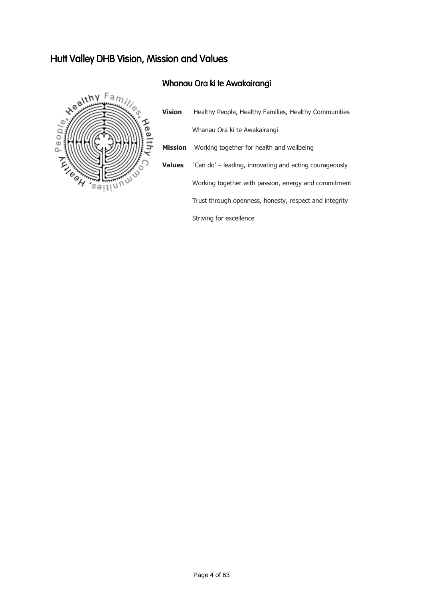## Hutt Valley DHB Vision, Mission and Values

### Whanau Ora ki te Awakairangi



|  | <b>Vision</b>  | Healthy People, Healthy Families, Healthy Communities  |
|--|----------------|--------------------------------------------------------|
|  |                | Whanau Ora ki te Awakairangi                           |
|  | <b>Mission</b> | Working together for health and wellbeing              |
|  | <b>Values</b>  | 'Can do' – leading, innovating and acting courageously |
|  |                | Working together with passion, energy and commitment   |
|  |                | Trust through openness, honesty, respect and integrity |
|  |                | Striving for excellence                                |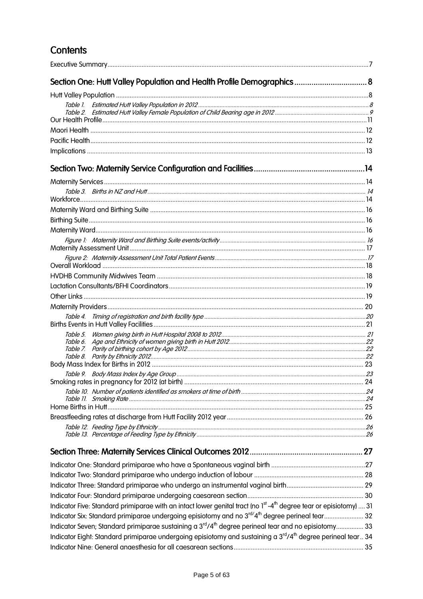## **Contents**

| Section One: Hutt Valley Population and Health Profile Demographics 8                                                                      |  |
|--------------------------------------------------------------------------------------------------------------------------------------------|--|
|                                                                                                                                            |  |
|                                                                                                                                            |  |
|                                                                                                                                            |  |
|                                                                                                                                            |  |
|                                                                                                                                            |  |
|                                                                                                                                            |  |
|                                                                                                                                            |  |
|                                                                                                                                            |  |
|                                                                                                                                            |  |
|                                                                                                                                            |  |
|                                                                                                                                            |  |
|                                                                                                                                            |  |
|                                                                                                                                            |  |
|                                                                                                                                            |  |
|                                                                                                                                            |  |
|                                                                                                                                            |  |
|                                                                                                                                            |  |
|                                                                                                                                            |  |
|                                                                                                                                            |  |
|                                                                                                                                            |  |
|                                                                                                                                            |  |
|                                                                                                                                            |  |
| Table 5.                                                                                                                                   |  |
|                                                                                                                                            |  |
|                                                                                                                                            |  |
|                                                                                                                                            |  |
|                                                                                                                                            |  |
|                                                                                                                                            |  |
|                                                                                                                                            |  |
|                                                                                                                                            |  |
|                                                                                                                                            |  |
|                                                                                                                                            |  |
|                                                                                                                                            |  |
|                                                                                                                                            |  |
|                                                                                                                                            |  |
|                                                                                                                                            |  |
|                                                                                                                                            |  |
|                                                                                                                                            |  |
| Indicator Five: Standard primiparae with an intact lower genital tract (no 1 <sup>st</sup> -4 <sup>th</sup> degree tear or episiotomy)  31 |  |
| Indicator Six: Standard primiparae undergoing episiotomy and no 3rd/4 <sup>th</sup> degree perineal tear 32                                |  |
| Indicator Seven; Standard primiparae sustaining a 3 <sup>rd</sup> /4 <sup>th</sup> degree perineal tear and no episiotomy 33               |  |
| Indicator Eight: Standard primiparae undergoing episiotomy and sustaining a 3 <sup>rd</sup> /4 <sup>th</sup> degree perineal tear 34       |  |
|                                                                                                                                            |  |
|                                                                                                                                            |  |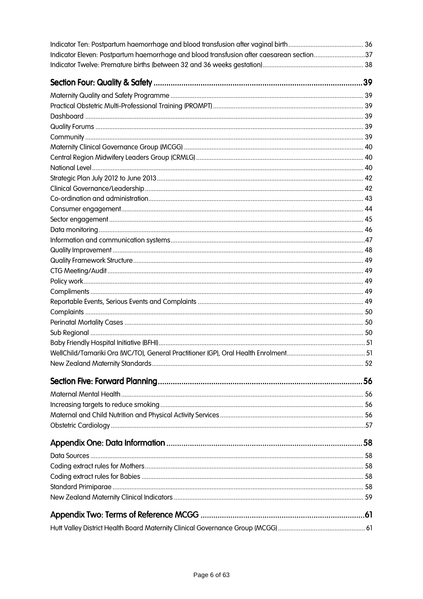| Indicator Eleven: Postpartum haemorrhage and blood transfusion after caesarean section37 |
|------------------------------------------------------------------------------------------|
|                                                                                          |
|                                                                                          |
|                                                                                          |
|                                                                                          |
|                                                                                          |
|                                                                                          |
|                                                                                          |
|                                                                                          |
|                                                                                          |
|                                                                                          |
|                                                                                          |
|                                                                                          |
|                                                                                          |
|                                                                                          |
|                                                                                          |
|                                                                                          |
|                                                                                          |
|                                                                                          |
|                                                                                          |
|                                                                                          |
|                                                                                          |
|                                                                                          |
|                                                                                          |
|                                                                                          |
|                                                                                          |
|                                                                                          |
|                                                                                          |
|                                                                                          |
|                                                                                          |
|                                                                                          |
|                                                                                          |
|                                                                                          |
|                                                                                          |
|                                                                                          |
|                                                                                          |
|                                                                                          |
|                                                                                          |
|                                                                                          |
|                                                                                          |
|                                                                                          |
|                                                                                          |
|                                                                                          |
|                                                                                          |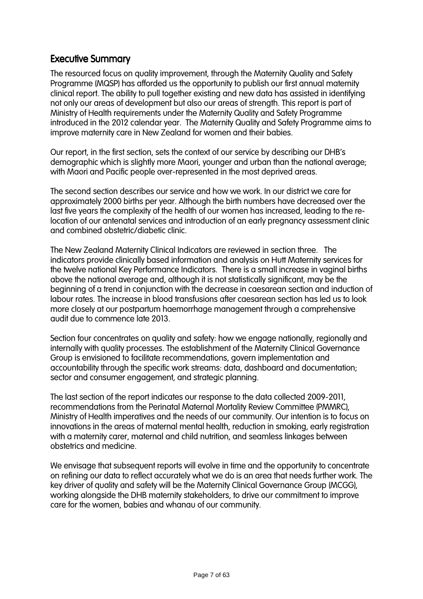### **Executive Summary**

The resourced focus on quality improvement, through the Maternity Quality and Safety Programme (MQSP) has afforded us the opportunity to publish our first annual maternity clinical report. The ability to pull together existing and new data has assisted in identifying not only our areas of development but also our areas of strength. This report is part of Ministry of Health requirements under the Maternity Quality and Safety Programme introduced in the 2012 calendar year. The Maternity Quality and Safety Programme aims to improve maternity care in New Zealand for women and their babies.

Our report, in the first section, sets the context of our service by describing our DHB's demographic which is slightly more Maori, younger and urban than the national average; with Maori and Pacific people over-represented in the most deprived areas.

The second section describes our service and how we work. In our district we care for approximately 2000 births per year. Although the birth numbers have decreased over the last five years the complexity of the health of our women has increased, leading to the relocation of our antenatal services and introduction of an early pregnancy assessment clinic and combined obstetric/diabetic clinic.

The New Zealand Maternity Clinical Indicators are reviewed in section three. The indicators provide clinically based information and analysis on Hutt Maternity services for the twelve national Key Performance Indicators. There is a small increase in vaginal births above the national average and, although it is not statistically significant, may be the beginning of a trend in conjunction with the decrease in caesarean section and induction of labour rates. The increase in blood transfusions after caesarean section has led us to look more closely at our postpartum haemorrhage management through a comprehensive audit due to commence late 2013.

Section four concentrates on quality and safety: how we engage nationally, regionally and internally with quality processes. The establishment of the Maternity Clinical Governance Group is envisioned to facilitate recommendations, govern implementation and accountability through the specific work streams: data, dashboard and documentation; sector and consumer engagement, and strategic planning.

The last section of the report indicates our response to the data collected 2009-2011, recommendations from the Perinatal Maternal Mortality Review Committee (PMMRC), Ministry of Health imperatives and the needs of our community. Our intention is to focus on innovations in the areas of maternal mental health, reduction in smoking, early registration with a maternity carer, maternal and child nutrition, and seamless linkages between obstetrics and medicine.

We envisage that subsequent reports will evolve in time and the opportunity to concentrate on refining our data to reflect accurately what we do is an area that needs further work. The key driver of quality and safety will be the Maternity Clinical Governance Group (MCGG), working alongside the DHB maternity stakeholders, to drive our commitment to improve care for the women, babies and whanau of our community.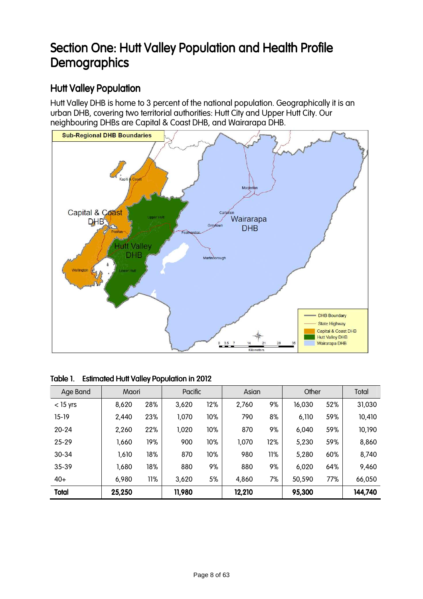## Section One: Hutt Valley Population and Health Profile **Demographics**

### Hutt Valley Population

Hutt Valley DHB is home to 3 percent of the national population. Geographically it is an urban DHB, covering two territorial authorities: Hutt City and Upper Hutt City. Our neighbouring DHBs are Capital & Coast DHB, and Wairarapa DHB.



| Table 1. Estimated Hutt Valley Population in 2012 |  |
|---------------------------------------------------|--|
|                                                   |  |

| Age Band     | Maori  |     | Pacific |     | Asian  |     | Other  |     | Total   |
|--------------|--------|-----|---------|-----|--------|-----|--------|-----|---------|
| $<$ 15 yrs   | 8,620  | 28% | 3,620   | 12% | 2,760  | 9%  | 16,030 | 52% | 31,030  |
| $15-19$      | 2,440  | 23% | 1,070   | 10% | 790    | 8%  | 6,110  | 59% | 10,410  |
| $20 - 24$    | 2,260  | 22% | 1,020   | 10% | 870    | 9%  | 6,040  | 59% | 10,190  |
| $25 - 29$    | 1,660  | 19% | 900     | 10% | 1,070  | 12% | 5,230  | 59% | 8,860   |
| $30 - 34$    | 1,610  | 18% | 870     | 10% | 980    | 11% | 5,280  | 60% | 8,740   |
| $35 - 39$    | 1,680  | 18% | 880     | 9%  | 880    | 9%  | 6,020  | 64% | 9,460   |
| $40+$        | 6,980  | 11% | 3,620   | 5%  | 4,860  | 7%  | 50,590 | 77% | 66,050  |
| <b>Total</b> | 25,250 |     | 11,980  |     | 12,210 |     | 95,300 |     | 144,740 |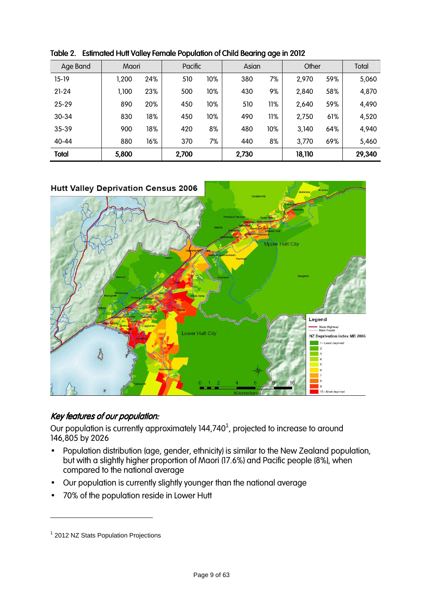| Age Band     | Maori |     | Pacific |     | Asian |     | Other  |     | Total  |
|--------------|-------|-----|---------|-----|-------|-----|--------|-----|--------|
| $15-19$      | ,200  | 24% | 510     | 10% | 380   | 7%  | 2,970  | 59% | 5,060  |
| $21 - 24$    | 1,100 | 23% | 500     | 10% | 430   | 9%  | 2,840  | 58% | 4,870  |
| $25 - 29$    | 890   | 20% | 450     | 10% | 510   | 11% | 2,640  | 59% | 4,490  |
| $30 - 34$    | 830   | 18% | 450     | 10% | 490   | 11% | 2,750  | 61% | 4,520  |
| $35 - 39$    | 900   | 18% | 420     | 8%  | 480   | 10% | 3,140  | 64% | 4,940  |
| $40 - 44$    | 880   | 16% | 370     | 7%  | 440   | 8%  | 3,770  | 69% | 5,460  |
| <b>Total</b> | 5,800 |     | 2,700   |     | 2,730 |     | 18,110 |     | 29,340 |

Table 2. Estimated Hutt Valley Female Population of Child Bearing age in 2012



### Key features of our population:

Our population is currently approximately  $144,740^1$ , projected to increase to around 146,805 by 2026

- Population distribution (age, gender, ethnicity) is similar to the New Zealand population, but with a slightly higher proportion of Maori (17.6%) and Pacific people (8%), when compared to the national average
- Our population is currently slightly younger than the national average
- 70% of the population reside in Lower Hutt

 $\overline{a}$ 

<sup>&</sup>lt;sup>1</sup> 2012 NZ Stats Population Projections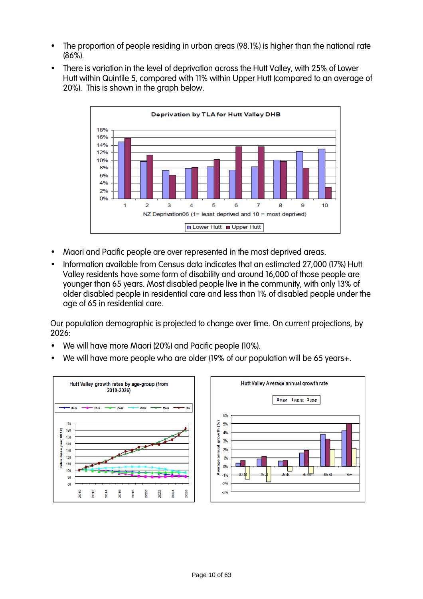- The proportion of people residing in urban areas (98.1%) is higher than the national rate (86%).
- There is variation in the level of deprivation across the Hutt Valley, with 25% of Lower Hutt within Quintile 5, compared with 11% within Upper Hutt (compared to an average of 20%). This is shown in the graph below.



- Maori and Pacific people are over represented in the most deprived areas.
- Information available from Census data indicates that an estimated 27,000 (17%) Hutt Valley residents have some form of disability and around 16,000 of those people are younger than 65 years. Most disabled people live in the community, with only 13% of older disabled people in residential care and less than 1% of disabled people under the age of 65 in residential care.

Our population demographic is projected to change over time. On current projections, by  $2026$ 

- We will have more Maori (20%) and Pacific people (10%).
- We will have more people who are older (19% of our population will be 65 years+.

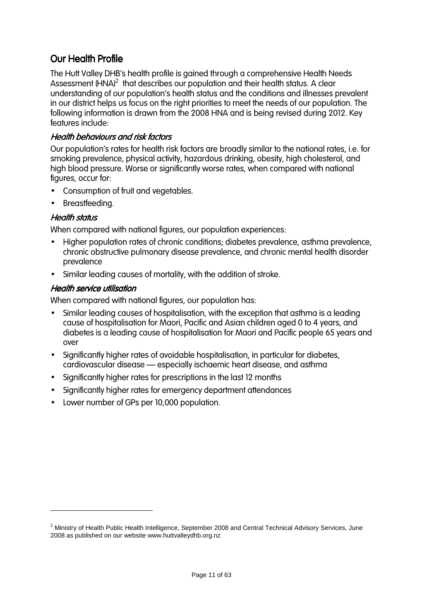### **Our Health Profile**

The Hutt Valley DHB's health profile is gained through a comprehensive Health Needs Assessment (HNA)<sup>2</sup> that describes our population and their health status. A clear understanding of our population's health status and the conditions and illnesses prevalent in our district helps us focus on the right priorities to meet the needs of our population. The following information is drawn from the 2008 HNA and is being revised during 2012. Key features include:

#### Health behaviours and risk factors

Our population's rates for health risk factors are broadly similar to the national rates, i.e. for smoking prevalence, physical activity, hazardous drinking, obesity, high cholesterol, and high blood pressure. Worse or significantly worse rates, when compared with national figures, occur for:

- Consumption of fruit and vegetables.
- Breastfeeding.

#### **Health status**

 $\overline{a}$ 

When compared with national figures, our population experiences:

- Higher population rates of chronic conditions; diabetes prevalence, asthma prevalence, chronic obstructive pulmonary disease prevalence, and chronic mental health disorder prevalence
- Similar leading causes of mortality, with the addition of stroke.

#### **Health service utilisation**

When compared with national figures, our population has:

- Similar leading causes of hospitalisation, with the exception that asthma is a leading cause of hospitalisation for Maori, Pacific and Asian children aged 0 to 4 years, and diabetes is a leading cause of hospitalisation for Maori and Pacific people 65 years and over
- Significantly higher rates of avoidable hospitalisation, in particular for diabetes, cardiovascular disease – especially ischaemic heart disease, and asthma
- Significantly higher rates for prescriptions in the last 12 months
- Significantly higher rates for emergency department attendances
- Lower number of GPs per 10,000 population.

 $^2$  Ministry of Health Public Health Intelligence, September 2008 and Central Technical Advisory Services, June 2008 as published on our website www.huttvalleydhb.org.nz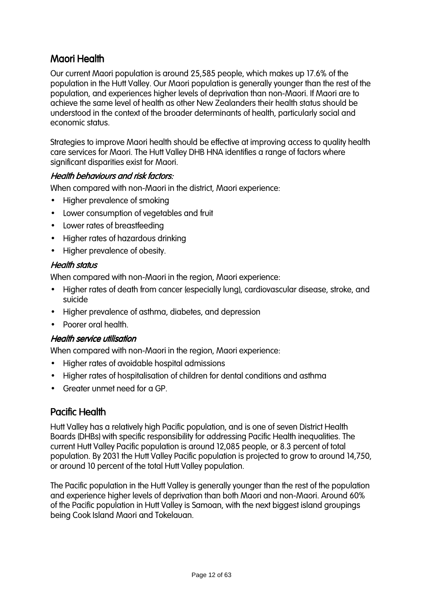### Maori Health

Our current Maori population is around 25,585 people, which makes up 17.6% of the population in the Hutt Valley. Our Maori population is generally younger than the rest of the population, and experiences higher levels of deprivation than non-Maori. If Maori are to achieve the same level of health as other New Zealanders their health status should be understood in the context of the broader determinants of health, particularly social and economic status.

Strategies to improve Maori health should be effective at improving access to quality health care services for Maori. The Hutt Valley DHB HNA identifies a range of factors where significant disparities exist for Maori.

#### Health behaviours and risk factors:

When compared with non-Maori in the district, Maori experience:

- Higher prevalence of smoking
- Lower consumption of vegetables and fruit
- Lower rates of breastfeeding
- Higher rates of hazardous drinking
- Higher prevalence of obesity.

#### **Health status**

When compared with non-Maori in the region, Maori experience:

- Higher rates of death from cancer (especially lung), cardiovascular disease, stroke, and suicide
- Higher prevalence of asthma, diabetes, and depression
- Poorer oral health

#### **Health service utilisation**

When compared with non-Maori in the region, Maori experience:

- Higher rates of avoidable hospital admissions
- Higher rates of hospitalisation of children for dental conditions and asthma
- Greater unmet need for a GP.

### **Pacific Health**

Hutt Valley has a relatively high Pacific population, and is one of seven District Health Boards (DHBs) with specific responsibility for addressing Pacific Health inequalities. The current Hutt Valley Pacific population is around 12,085 people, or 8.3 percent of total population. By 2031 the Hutt Valley Pacific population is projected to grow to around 14,750, or around 10 percent of the total Hutt Valley population.

The Pacific population in the Hutt Valley is generally younger than the rest of the population and experience higher levels of deprivation than both Maori and non-Maori. Around 60% of the Pacific population in Hutt Valley is Samoan, with the next biggest island groupings being Cook Island Maori and Tokelauan.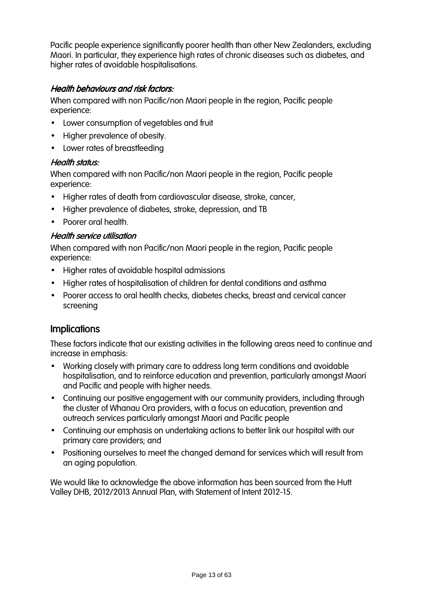Pacific people experience significantly poorer health than other New Zealanders, excluding Maori. In particular, they experience high rates of chronic diseases such as diabetes, and higher rates of avoidable hospitalisations.

#### Health behaviours and risk factors:

When compared with non Pacific/non Maori people in the region, Pacific people experience:

- Lower consumption of vegetables and fruit
- Higher prevalence of obesity.
- Lower rates of breastfeeding

#### Health status:

When compared with non Pacific/non Maori people in the region, Pacific people experience:

- Higher rates of death from cardiovascular disease, stroke, cancer,
- Higher prevalence of diabetes, stroke, depression, and TB
- Poorer oral health.

#### **Health service utilisation**

When compared with non Pacific/non Maori people in the region, Pacific people experience:

- Higher rates of avoidable hospital admissions
- Higher rates of hospitalisation of children for dental conditions and asthma
- Poorer access to oral health checks, diabetes checks, breast and cervical cancer screening

### **Implications**

These factors indicate that our existing activities in the following areas need to continue and increase in emphasis:

- Working closely with primary care to address long term conditions and avoidable hospitalisation, and to reinforce education and prevention, particularly amongst Maori and Pacific and people with higher needs.
- Continuing our positive engagement with our community providers, including through the cluster of Whanau Ora providers, with a focus on education, prevention and outreach services particularly amongst Maori and Pacific people
- Continuing our emphasis on undertaking actions to better link our hospital with our primary care providers; and
- Positioning ourselves to meet the changed demand for services which will result from an aging population.

We would like to acknowledge the above information has been sourced from the Hutt Valley DHB, 2012/2013 Annual Plan, with Statement of Intent 2012-15.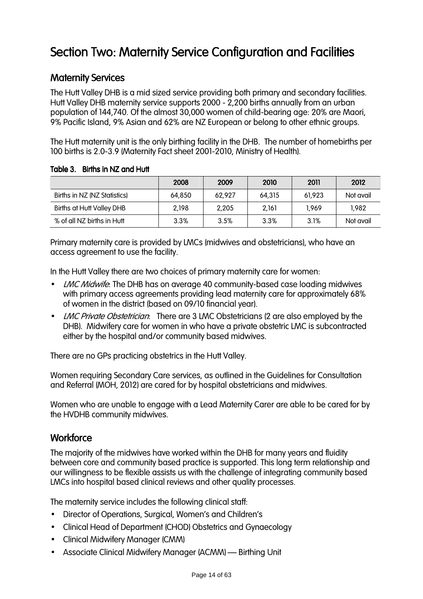# Section Two: Maternity Service Configuration and Facilities

### **Maternity Services**

The Hutt Valley DHB is a mid sized service providing both primary and secondary facilities. Hutt Valley DHB maternity service supports 2000 - 2,200 births annually from an urban population of 144,740. Of the almost 30,000 women of child-bearing age: 20% are Maori, 9% Pacific Island, 9% Asian and 62% are NZ European or belong to other ethnic groups.

The Hutt maternity unit is the only birthing facility in the DHB. The number of homebirths per 100 births is 2.0-3.9 (Maternity Fact sheet 2001-2010, Ministry of Health).

Table 3. Births in NZ and Hutt

|                              | 2008   | 2009    | 2010   | 2011   | 2012      |
|------------------------------|--------|---------|--------|--------|-----------|
| Births in NZ (NZ Statistics) | 64.850 | 62.927  | 64.315 | 61.923 | Not avail |
| Births at Hutt Valley DHB    | 2,198  | 2,205   | 2,161  | 1.969  | 1,982     |
| % of all NZ births in Hutt   | 3.3%   | $3.5\%$ | 3.3%   | 3.1%   | Not avail |

Primary maternity care is provided by LMCs (midwives and obstetricians), who have an access agreement to use the facility.

In the Hutt Valley there are two choices of primary maternity care for women:

- LMC Midwife: The DHB has on average 40 community-based case loading midwives with primary access agreements providing lead maternity care for approximately 68% of women in the district (based on 09/10 financial year).
- LMC Private Obstetrician: There are 3 LMC Obstetricians (2 are also employed by the DHB). Midwifery care for women in who have a private obstetric LMC is subcontracted either by the hospital and/or community based midwives.

There are no GPs practicing obstetrics in the Hutt Valley.

Women requiring Secondary Care services, as outlined in the Guidelines for Consultation and Referral (MOH, 2012) are cared for by hospital obstetricians and midwives.

Women who are unable to engage with a Lead Maternity Carer are able to be cared for by the HVDHB community midwives.

### **Workforce**

The majority of the midwives have worked within the DHB for many years and fluidity between core and community based practice is supported. This long term relationship and our willingness to be flexible assists us with the challenge of integrating community based LMCs into hospital based clinical reviews and other quality processes.

The maternity service includes the following clinical staff:

- Director of Operations, Surgical, Women's and Children's
- Clinical Head of Department (CHOD) Obstetrics and Gynaecology
- Clinical Midwifery Manager (CMM)
- Associate Clinical Midwifery Manager (ACMM) Birthing Unit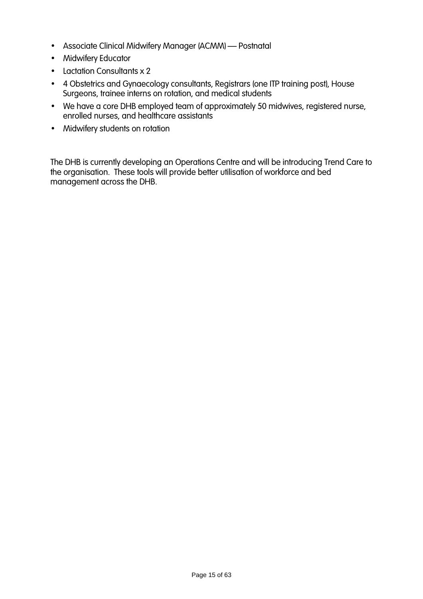- Associate Clinical Midwifery Manager (ACMM) Postnatal
- Midwifery Educator
- Lactation Consultants x 2
- 4 Obstetrics and Gynaecology consultants, Registrars (one ITP training post), House Surgeons, trainee interns on rotation, and medical students
- We have a core DHB employed team of approximately 50 midwives, registered nurse, enrolled nurses, and healthcare assistants
- Midwifery students on rotation

The DHB is currently developing an Operations Centre and will be introducing Trend Care to the organisation. These tools will provide better utilisation of workforce and bed management across the DHB.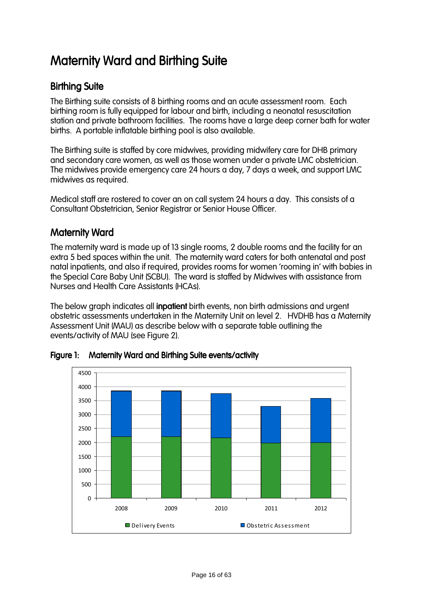# **Maternity Ward and Birthing Suite**

### **Birthing Suite**

The Birthing suite consists of 8 birthing rooms and an acute assessment room. Each birthing room is fully equipped for labour and birth, including a neonatal resuscitation station and private bathroom facilities. The rooms have a large deep corner bath for water births. A portable inflatable birthing pool is also available.

The Birthing suite is staffed by core midwives, providing midwifery care for DHB primary and secondary care women, as well as those women under a private LMC obstetrician. The midwives provide emergency care 24 hours a day, 7 days a week, and support LMC midwives as required.

Medical staff are rostered to cover an on call system 24 hours a day. This consists of a Consultant Obstetrician, Senior Registrar or Senior House Officer.

### **Maternity Ward**

The maternity ward is made up of 13 single rooms, 2 double rooms and the facility for an extra 5 bed spaces within the unit. The maternity ward caters for both antenatal and post natal inpatients, and also if required, provides rooms for women 'rooming in' with babies in the Special Care Baby Unit (SCBU). The ward is staffed by Midwives with assistance from Nurses and Health Care Assistants (HCAs).

The below graph indicates all **inpatient** birth events, non birth admissions and urgent obstetric assessments undertaken in the Maternity Unit on level 2. HVDHB has a Maternity Assessment Unit (MAU) as describe below with a separate table outlining the events/activity of MAU (see Figure 2).



Figure 1: Maternity Ward and Birthing Suite events/activity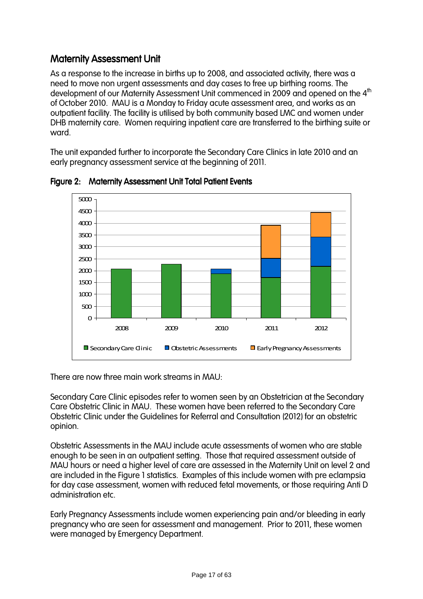### **Maternity Assessment Unit**

As a response to the increase in births up to 2008, and associated activity, there was a need to move non urgent assessments and day cases to free up birthing rooms. The development of our Maternity Assessment Unit commenced in 2009 and opened on the 4<sup>th</sup> of October 2010. MAU is a Monday to Friday acute assessment area, and works as an outpatient facility. The facility is utilised by both community based LMC and women under DHB maternity care. Women requiring inpatient care are transferred to the birthing suite or ward.

The unit expanded further to incorporate the Secondary Care Clinics in late 2010 and an early pregnancy assessment service at the beginning of 2011.



Figure 2: Maternity Assessment Unit Total Patient Events

There are now three main work streams in MAU:

Secondary Care Clinic episodes refer to women seen by an Obstetrician at the Secondary Care Obstetric Clinic in MAU. These women have been referred to the Secondary Care Obstetric Clinic under the Guidelines for Referral and Consultation (2012) for an obstetric opinion.

Obstetric Assessments in the MAU include acute assessments of women who are stable enough to be seen in an outpatient setting. Those that required assessment outside of MAU hours or need a higher level of care are assessed in the Maternity Unit on level 2 and are included in the Figure 1 statistics. Examples of this include women with pre eclampsia for day case assessment, women with reduced fetal movements, or those requiring Anti D administration etc.

Early Pregnancy Assessments include women experiencing pain and/or bleeding in early pregnancy who are seen for assessment and management. Prior to 2011, these women were managed by Emergency Department.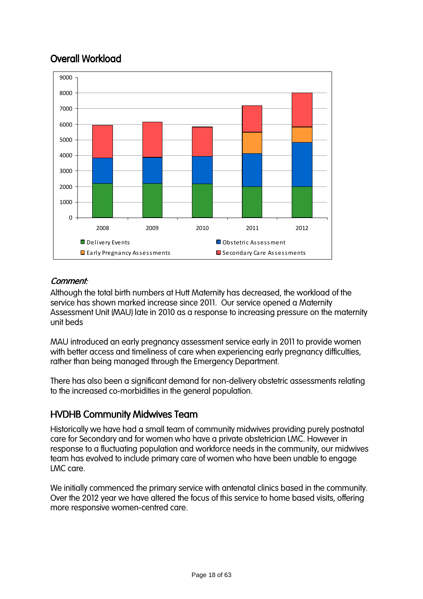## Overall Workload



### Comment: Comment:

Although the total birth numbers at Hutt Maternity has decreased, the workload of the service has shown marked increase since 2011. Our service opened a Maternity Assessment Unit (MAU) late in 2010 as a response to increasing pressure on the maternity unit beds

MAU introduced an early pregnancy assessment service early in 2011 to provide women with better access and timeliness of care when experiencing early pregnancy difficulties, rather than being managed through the Emergency Department.

There has also been a significant demand for non-delivery obstetric assessments relating to the increased co-morbidities in the general population.

### **HVDHB Community Midwives Team**

Historically we have had a small team of community midwives providing purely postnatal care for Secondary and for women who have a private obstetrician LMC. However in response to a fluctuating population and workforce needs in the community, our midwives team has evolved to include primary care of women who have been unable to engage LMC care.

We initially commenced the primary service with antenatal clinics based in the community. Over the 2012 year we have altered the focus of this service to home based visits, offering more responsive women-centred care.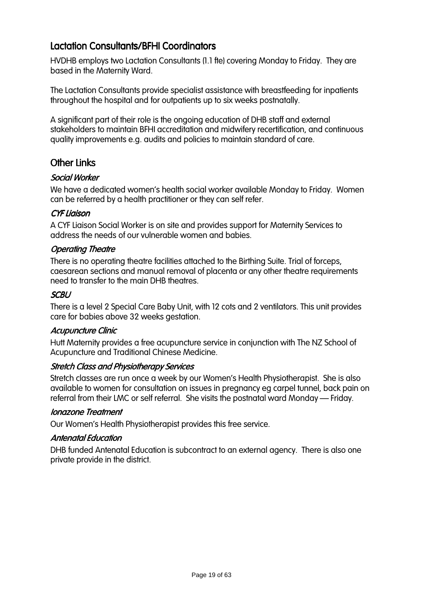### Lactation Consultants/BFHI Coordinators

HVDHB employs two Lactation Consultants (1.1 fte) covering Monday to Friday. They are based in the Maternity Ward.

The Lactation Consultants provide specialist assistance with breastfeeding for inpatients throughout the hospital and for outpatients up to six weeks postnatally.

A significant part of their role is the ongoing education of DHB staff and external stakeholders to maintain BFHI accreditation and midwifery recertification, and continuous quality improvements e.g. audits and policies to maintain standard of care.

### Other Links

#### Social Worker

We have a dedicated women's health social worker available Monday to Friday. Women can be referred by a health practitioner or they can self refer.

#### CYF Liaison CYF Liaison

A CYF Liaison Social Worker is on site and provides support for Maternity Services to address the needs of our vulnerable women and babies.

#### Operating Theatre

There is no operating theatre facilities attached to the Birthing Suite. Trial of forceps, caesarean sections and manual removal of placenta or any other theatre requirements need to transfer to the main DHB theatres.

#### **SCBU**

There is a level 2 Special Care Baby Unit, with 12 cots and 2 ventilators. This unit provides care for babies above 32 weeks gestation.

#### Acupuncture Clinic

Hutt Maternity provides a free acupuncture service in conjunction with The NZ School of Acupuncture and Traditional Chinese Medicine.

#### Stretch Class and Physiotherapy Services

Stretch classes are run once a week by our Women's Health Physiotherapist. She is also available to women for consultation on issues in pregnancy eg carpel tunnel, back pain on referral from their LMC or self referral. She visits the postnatal ward Monday – Friday.

#### Ionazone Treatment

Our Women's Health Physiotherapist provides this free service.

#### **Antenatal Education**

DHB funded Antenatal Education is subcontract to an external agency. There is also one private provide in the district.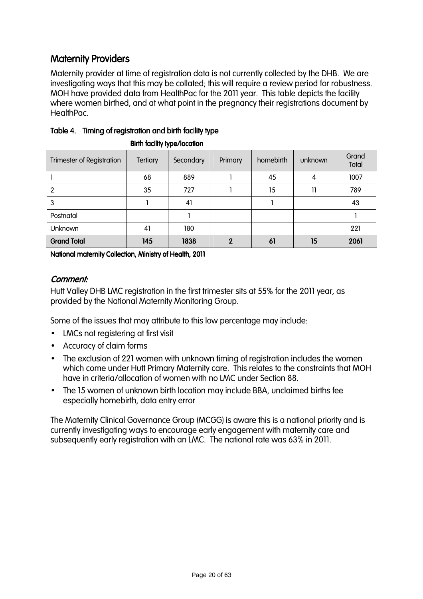### Maternity Providers

Maternity provider at time of registration data is not currently collected by the DHB. We are investigating ways that this may be collated; this will require a review period for robustness. MOH have provided data from HealthPac for the 2011 year. This table depicts the facility where women birthed, and at what point in the pregnancy their registrations document by HealthPac.

| <b>Trimester of Registration</b> | <b>Tertiary</b> | Secondary | Primary | homebirth | unknown | Grand<br>Total |
|----------------------------------|-----------------|-----------|---------|-----------|---------|----------------|
|                                  | 68              | 889       |         | 45        | 4       | 1007           |
| $\overline{2}$                   | 35              | 727       |         | 15        | 11      | 789            |
| 3                                |                 | 41        |         |           |         | 43             |
| Postnatal                        |                 |           |         |           |         |                |
| Unknown                          | 41              | 180       |         |           |         | 221            |
| <b>Grand Total</b>               | 145             | 1838      |         | 61        | 15      | 2061           |

### Table 4. Timing of registration and birth facility type

Birth facility type/location

National maternity Collection, Ministry of Health, 2011

#### Comment: Comment:

Hutt Valley DHB LMC registration in the first trimester sits at 55% for the 2011 year, as provided by the National Maternity Monitoring Group.

Some of the issues that may attribute to this low percentage may include:

- LMCs not registering at first visit
- Accuracy of claim forms
- The exclusion of 221 women with unknown timing of registration includes the women which come under Hutt Primary Maternity care. This relates to the constraints that MOH have in criteria/allocation of women with no LMC under Section 88.
- The 15 women of unknown birth location may include BBA, unclaimed births fee especially homebirth, data entry error

The Maternity Clinical Governance Group (MCGG) is aware this is a national priority and is currently investigating ways to encourage early engagement with maternity care and subsequently early registration with an LMC. The national rate was 63% in 2011.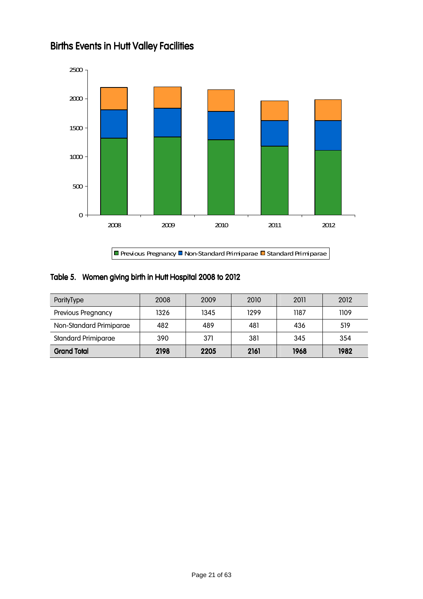

## **Births Events in Hutt Valley Facilities**

#### Table 5. Women giving birth in Hutt Hospital 2008 to 2012

| ParityType                 | 2008 | 2009 | 2010 | 2011 | 2012 |
|----------------------------|------|------|------|------|------|
| Previous Pregnancy         | 1326 | 1345 | 1299 | 1187 | 1109 |
| Non-Standard Primiparae    | 482  | 489  | 481  | 436  | 519  |
| <b>Standard Primiparae</b> | 390  | 371  | 381  | 345  | 354  |
| <b>Grand Total</b>         | 2198 | 2205 | 2161 | 1968 | 1982 |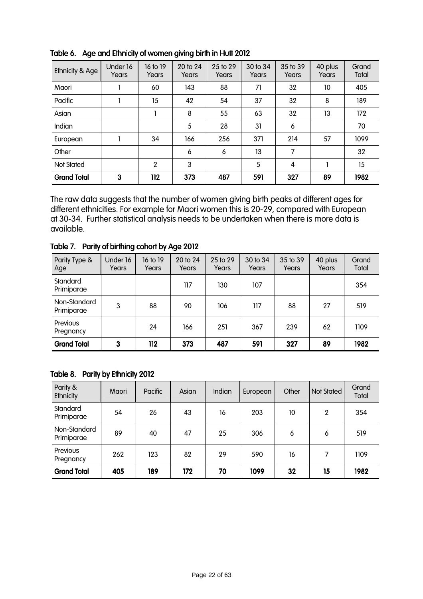| Ethnicity & Age    | Under 16<br>Years | 16 to 19<br>Years | 20 to 24<br>Years | 25 to 29<br>Years | 30 to 34<br>Years | 35 to 39<br>Years | 40 plus<br>Years | Grand<br>Total |
|--------------------|-------------------|-------------------|-------------------|-------------------|-------------------|-------------------|------------------|----------------|
| Maori              |                   | 60                | 143               | 88                | 71                | 32                | 10               | 405            |
| Pacific            |                   | 15                | 42                | 54                | 37                | 32                | 8                | 189            |
| Asian              |                   |                   | 8                 | 55                | 63                | 32                | 13               | 172            |
| Indian             |                   |                   | 5                 | 28                | 31                | 6                 |                  | 70             |
| European           |                   | 34                | 166               | 256               | 371               | 214               | 57               | 1099           |
| Other              |                   |                   | 6                 | 6                 | 13                | 7                 |                  | 32             |
| <b>Not Stated</b>  |                   | $\overline{2}$    | 3                 |                   | 5                 | 4                 |                  | 15             |
| <b>Grand Total</b> | 3                 | 112               | 373               | 487               | 591               | 327               | 89               | 1982           |

Table 6. Age and Ethnicity of women giving birth in Hutt 2012

The raw data suggests that the number of women giving birth peaks at different ages for different ethnicities. For example for Maori women this is 20-29, compared with European at 30-34. Further statistical analysis needs to be undertaken when there is more data is available.

| Parity Type &<br>Age       | Under 16<br>Years | 16 to 19<br>Years | 20 to 24<br>Years | 25 to 29<br>Years | 30 to 34<br>Years | 35 to 39<br>Years | 40 plus<br>Years | Grand<br>Total |
|----------------------------|-------------------|-------------------|-------------------|-------------------|-------------------|-------------------|------------------|----------------|
| Standard<br>Primiparae     |                   |                   | 117               | 130               | 107               |                   |                  | 354            |
| Non-Standard<br>Primiparae | 3                 | 88                | 90                | 106               | 117               | 88                | 27               | 519            |
| Previous<br>Pregnancy      |                   | 24                | 166               | 251               | 367               | 239               | 62               | 1109           |
| <b>Grand Total</b>         | 3                 | 112               | 373               | 487               | 591               | 327               | 89               | 1982           |

Table 7. Parity of birthing cohort by Age 2012

#### Table 8. Parity by Ethnicity 2012

| Parity &<br>Ethnicity      | Maori | Pacific | Asian | Indian | European | Other | <b>Not Stated</b> | Grand<br>Total |
|----------------------------|-------|---------|-------|--------|----------|-------|-------------------|----------------|
| Standard<br>Primiparae     | 54    | 26      | 43    | 16     | 203      | 10    | 2                 | 354            |
| Non-Standard<br>Primiparae | 89    | 40      | 47    | 25     | 306      | 6     | 6                 | 519            |
| Previous<br>Pregnancy      | 262   | 123     | 82    | 29     | 590      | 16    |                   | 1109           |
| <b>Grand Total</b>         | 405   | 189     | 172   | 70     | 1099     | 32    | 15                | 1982           |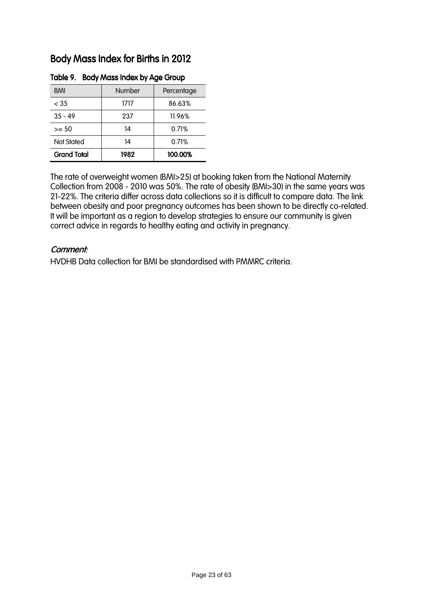### Body Mass Index for Births in 2012

| <b>BMI</b>         | Number | Percentage |
|--------------------|--------|------------|
| $<$ 35             | 1717   | 86.63%     |
| $35 - 49$          | 237    | 11.96%     |
| $>= 50$            | 14     | 0.71%      |
| <b>Not Stated</b>  | 14     | 0.71%      |
| <b>Grand Total</b> | 1982   | 100.00%    |

#### Table 9. Body Mass Index by Age Group

The rate of overweight women (BMI>25) at booking taken from the National Maternity Collection from 2008 - 2010 was 50%. The rate of obesity (BMI>30) in the same years was 21-22%. The criteria differ across data collections so it is difficult to compare data. The link between obesity and poor pregnancy outcomes has been shown to be directly co-related. It will be important as a region to develop strategies to ensure our community is given correct advice in regards to healthy eating and activity in pregnancy.

#### Comment:

HVDHB Data collection for BMI be standardised with PMMRC criteria.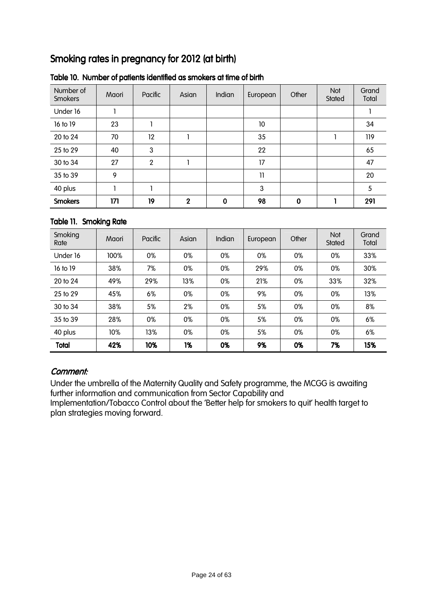## Smoking rates in pregnancy for 2012 (at birth)

| Number of<br>Smokers | Maori | Pacific        | Asian                      | <b>Indian</b> | European | Other | Not<br>Stated | Grand<br>Total |
|----------------------|-------|----------------|----------------------------|---------------|----------|-------|---------------|----------------|
| Under 16             |       |                |                            |               |          |       |               |                |
| 16 to 19             | 23    |                |                            |               | 10       |       |               | 34             |
| 20 to 24             | 70    | 12             |                            |               | 35       |       |               | 119            |
| 25 to 29             | 40    | 3              |                            |               | 22       |       |               | 65             |
| 30 to 34             | 27    | $\overline{2}$ |                            |               | 17       |       |               | 47             |
| 35 to 39             | 9     |                |                            |               | 11       |       |               | 20             |
| 40 plus              |       |                |                            |               | 3        |       |               | 5              |
| <b>Smokers</b>       | 171   | 19             | $\boldsymbol{\mathcal{P}}$ | $\bf{0}$      | 98       | 0     |               | 291            |

#### Table 10. Number of patients identified as smokers at time of birth

#### Table 11. Smoking Rate

| Smoking<br>Rate | Maori | Pacific | Asian | <b>Indian</b> | European | Other | Not<br>Stated | Grand<br>Total |
|-----------------|-------|---------|-------|---------------|----------|-------|---------------|----------------|
| Under 16        | 100%  | 0%      | 0%    | 0%            | 0%       | 0%    | 0%            | 33%            |
| 16 to 19        | 38%   | 7%      | 0%    | 0%            | 29%      | 0%    | 0%            | 30%            |
| 20 to 24        | 49%   | 29%     | 13%   | 0%            | 21%      | 0%    | 33%           | 32%            |
| 25 to 29        | 45%   | 6%      | 0%    | 0%            | 9%       | 0%    | 0%            | 13%            |
| 30 to 34        | 38%   | 5%      | 2%    | 0%            | 5%       | 0%    | 0%            | 8%             |
| 35 to 39        | 28%   | 0%      | 0%    | 0%            | 5%       | 0%    | 0%            | 6%             |
| 40 plus         | 10%   | 13%     | 0%    | 0%            | 5%       | 0%    | 0%            | 6%             |
| <b>Total</b>    | 42%   | 10%     | 1%    | 0%            | 9%       | 0%    | 7%            | 15%            |

#### Comment: Comment:

Under the umbrella of the Maternity Quality and Safety programme, the MCGG is awaiting further information and communication from Sector Capability and Implementation/Tobacco Control about the 'Better help for smokers to quit' health target to plan strategies moving forward.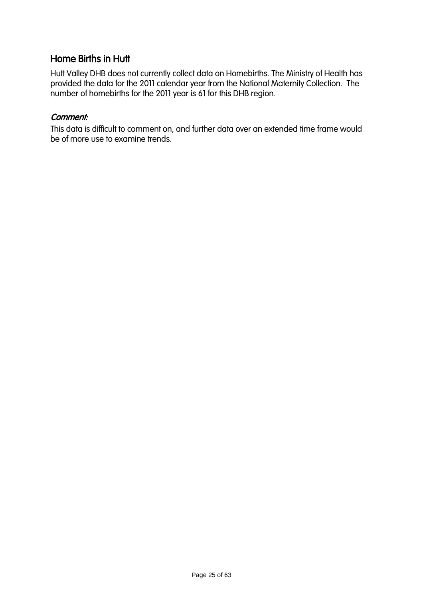### Home Births in Hutt

Hutt Valley DHB does not currently collect data on Homebirths. The Ministry of Health has provided the data for the 2011 calendar year from the National Maternity Collection. The number of homebirths for the 2011 year is 61 for this DHB region.

#### Comment: Comment:

This data is difficult to comment on, and further data over an extended time frame would be of more use to examine trends.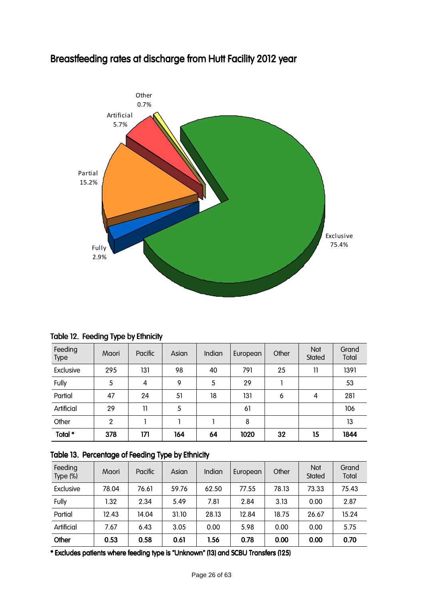

## Breastfeeding rates at discharge from Hutt Facility 2012 year

|  | Table 12. Feeding Type by Ethnicity |  |  |  |
|--|-------------------------------------|--|--|--|
|--|-------------------------------------|--|--|--|

| Feeding<br><b>Type</b> | Maori | Pacific | Asian | Indian | European | Other | Not<br>Stated | Grand<br>Total |
|------------------------|-------|---------|-------|--------|----------|-------|---------------|----------------|
| Exclusive              | 295   | 131     | 98    | 40     | 791      | 25    | 11            | 1391           |
| Fully                  | 5     | 4       | 9     | 5      | 29       |       |               | 53             |
| Partial                | 47    | 24      | 51    | 18     | 131      | 6     | 4             | 281            |
| Artificial             | 29    | 11      | 5     |        | 61       |       |               | 106            |
| Other                  | 2     |         |       |        | 8        |       |               | 13             |
| Total *                | 378   | 171     | 164   | 64     | 1020     | 32    | 15            | 1844           |

#### Table 13. Percentage of Feeding Type by Ethnicity

| Feeding<br>Type $(\%)$ | Maori | Pacific | Asian | Indian | European | Other | <b>Not</b><br>Stated | Grand<br>Total |
|------------------------|-------|---------|-------|--------|----------|-------|----------------------|----------------|
| Exclusive              | 78.04 | 76.61   | 59.76 | 62.50  | 77.55    | 78.13 | 73.33                | 75.43          |
| Fully                  | 1.32  | 2.34    | 5.49  | 7.81   | 2.84     | 3.13  | 0.00                 | 2.87           |
| Partial                | 12.43 | 14.04   | 31.10 | 28.13  | 12.84    | 18.75 | 26.67                | 15.24          |
| Artificial             | 7.67  | 6.43    | 3.05  | 0.00   | 5.98     | 0.00  | 0.00                 | 5.75           |
| Other                  | 0.53  | 0.58    | 0.61  | 1.56   | 0.78     | 0.00  | 0.00                 | 0.70           |

\* Excludes patients where feeding type is "Unknown" (13) and SCBU Transfers (125)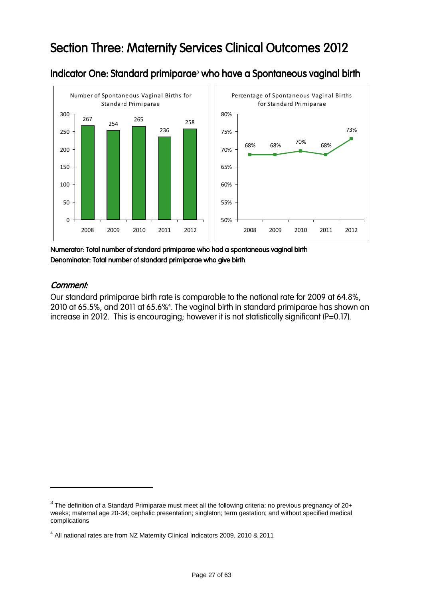## Section Three: Maternity Services Clinical Outcomes 2012



Indicator One: Standard primiparae<sup>3</sup> who have a Spontaneous vaginal birth

Numerator: Total number of standard primiparae who had a spontaneous vaginal birth Denominator: Total number of standard primiparae who give birth

#### Comment: Comment:

 $\overline{a}$ 

Our standard primiparae birth rate is comparable to the national rate for 2009 at 64.8%, 2010 at 65.5%, and 2011 at 65.6%<sup>4</sup> . The vaginal birth in standard primiparae has shown an increase in 2012. This is encouraging; however it is not statistically significant (P=0.17).

 $^3$  The definition of a Standard Primiparae must meet all the following criteria: no previous pregnancy of 20+ weeks; maternal age 20-34; cephalic presentation; singleton; term gestation; and without specified medical complications

<sup>&</sup>lt;sup>4</sup> All national rates are from NZ Maternity Clinical Indicators 2009, 2010 & 2011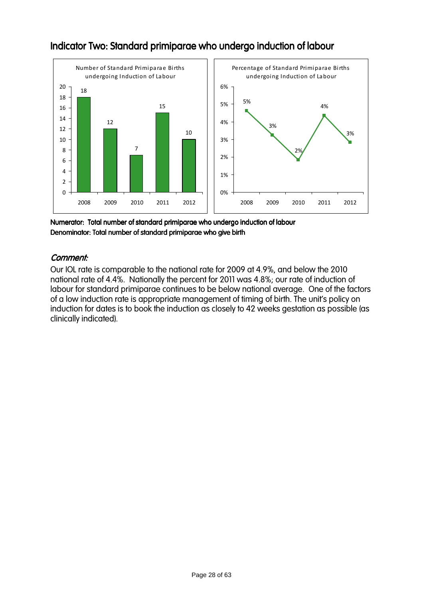

### Indicator Two: Standard primiparae who undergo induction of labour

Numerator: Total number of standard primiparae who undergo induction of labour f Denominator: Total number of standard primiparae who give birth

#### Comment: Comment:

Our IOL rate is comparable to the national rate for 2009 at 4.9%, and below the 2010 national rate of 4.4%. Nationally the percent for 2011 was 4.8%; our rate of induction of labour for standard primiparae continues to be below national average. One of the factors of a low induction rate is appropriate management of timing of birth. The unit's policy on induction for dates is to book the induction as closely to 42 weeks gestation as possible (as clinically indicated).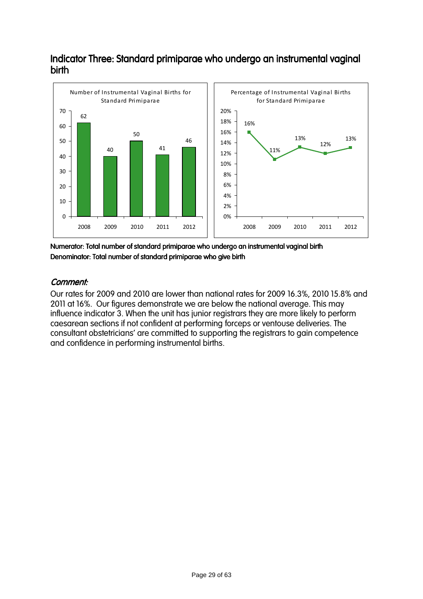### Indicator Three: Standard primiparae who undergo an instrumental vaginal birth



Numerator: Total number of standard primiparae who undergo an instrumental vaginal birth Denominator: Total number of standard primiparae who give birth

#### Comment: Comment:

Our rates for 2009 and 2010 are lower than national rates for 2009 16.3%, 2010 15.8% and 2011 at 16%. Our figures demonstrate we are below the national average. This may influence indicator 3. When the unit has junior registrars they are more likely to perform caesarean sections if not confident at performing forceps or ventouse deliveries. The consultant obstetricians' are committed to supporting the registrars to gain competence and confidence in performing instrumental births.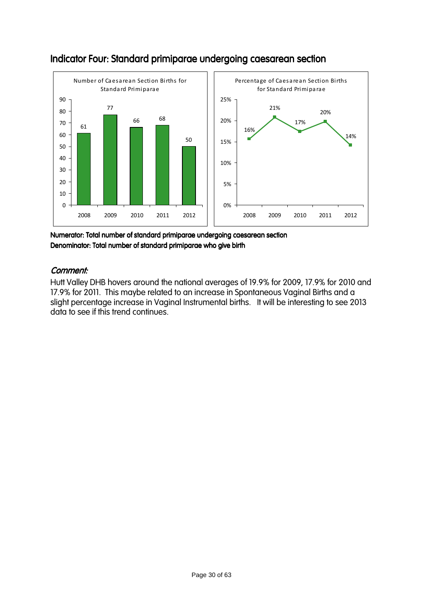

### Indicator Four: Standard primiparae undergoing caesarean section

Numerator: Total number of standard primiparae undergoing caesarean section Denominator: Total number of standard primiparae who give birth

#### Comment: Comment:

Hutt Valley DHB hovers around the national averages of 19.9% for 2009, 17.9% for 2010 and 17.9% for 2011. This maybe related to an increase in Spontaneous Vaginal Births and a slight percentage increase in Vaginal Instrumental births. It will be interesting to see 2013 data to see if this trend continues.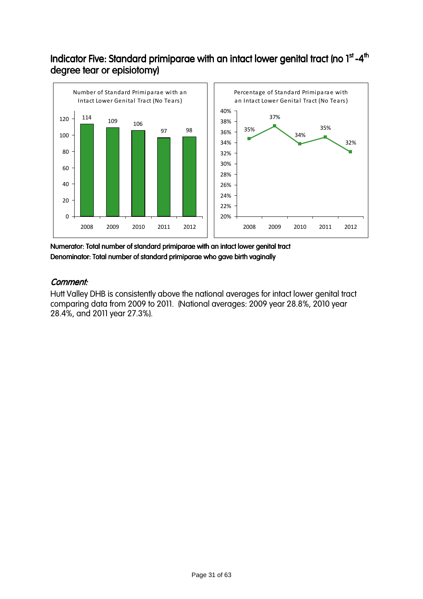### Indicator Five: Standard primiparae with an intact lower genital tract (no 1st -4th degree tear or episiotomy)



Numerator: Total number of standard primiparae with an intact lower genital tract Denominator: Total number of standard primiparae who gave birth vaginally

#### Comment: Comment:

Hutt Valley DHB is consistently above the national averages for intact lower genital tract comparing data from 2009 to 2011. (National averages: 2009 year 28.8%, 2010 year 28.4%, and 2011 year 27.3%).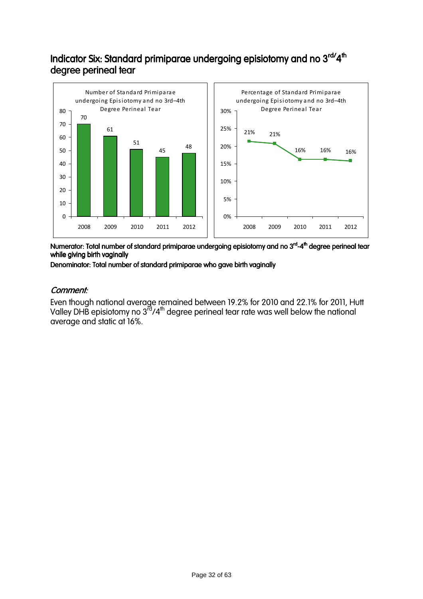### Indicator Six: Standard primiparae undergoing episiotomy and no 3<sup>rd/</sup>4<sup>th</sup> degree perineal tear



Numerator: Total number of standard primiparae undergoing episiotomy and no 3<sup>rd</sup>-4<sup>th</sup> degree perineal tear while giving birth vaginally

Denominator: Total number of standard primiparae who gave birth vaginally

#### Comment: Comment:

Even though national average remained between 19.2% for 2010 and 22.1% for 2011, Hutt Valley DHB episiotomy no  $3^{rd}/4^{th}$  degree perineal tear rate was well below the national average and static at 16%.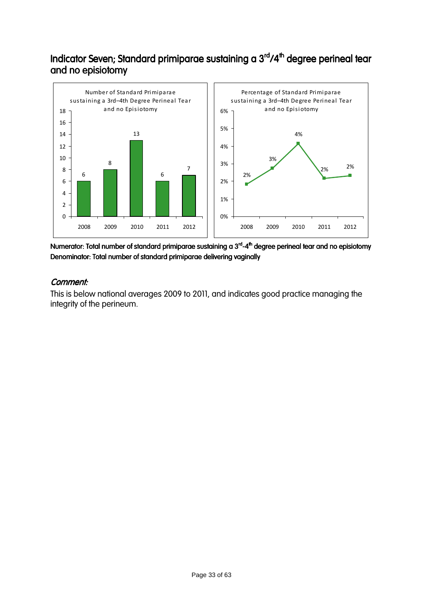### Indicator Seven; Standard primiparae sustaining a 3<sup>rd</sup>/4<sup>th</sup> degree perineal tear and no episiotomy



Numerator: Total number of standard primiparae sustaining a 3<sup>rd</sup>-4<sup>th</sup> degree perineal tear and no episiotomy Denominator: Total number of standard primiparae delivering vaginally

#### Comment: Comment:

This is below national averages 2009 to 2011, and indicates good practice managing the integrity of the perineum.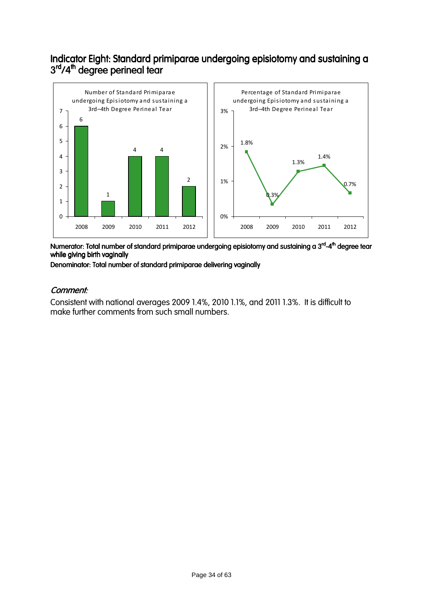### Indicator Eight: Standard primiparae undergoing episiotomy and sustaining a 3<sup>rd</sup>/4<sup>th</sup> degree perineal tear



Numerator: Total number of standard primiparae undergoing episiotomy and sustaining a 3<sup>rd</sup>-4<sup>th</sup> degree tear while giving birth vaginally

Denominator: Total number of standard primiparae delivering vaginally

#### Comment: Comment:

Consistent with national averages 2009 1.4%, 2010 1.1%, and 2011 1.3%. It is difficult to make further comments from such small numbers.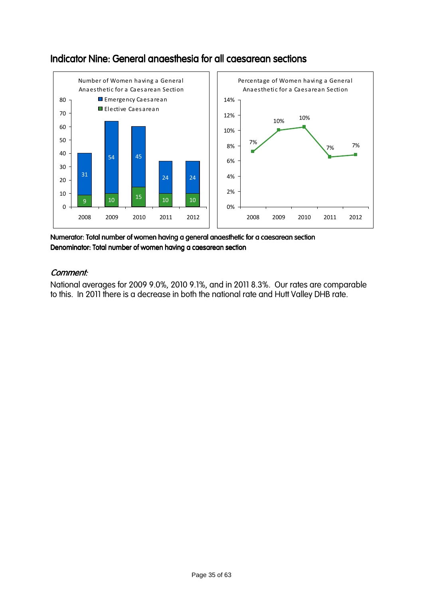

### Indicator Nine: General anaesthesia for all caesarean sections

Numerator: Total number of women having a general anaesthetic for a caesarean section Denominator: Total number of women having a caesarean section

### Comment: Comment:

National averages for 2009 9.0%, 2010 9.1%, and in 2011 8.3%. Our rates are comparable to this. In 2011 there is a decrease in both the national rate and Hutt Valley DHB rate.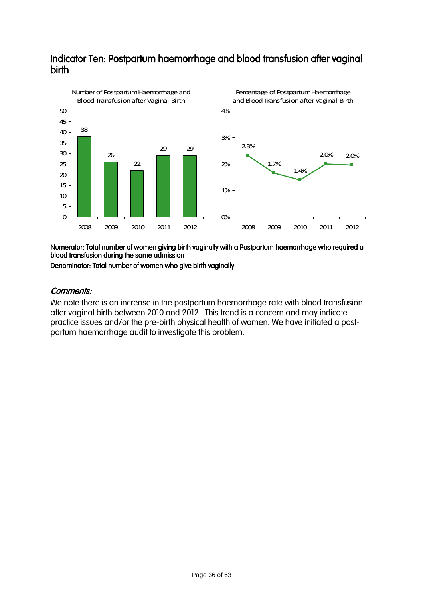### Indicator Ten: Postpartum haemorrhage and blood transfusion after vaginal birth



Numerator: Total number of women giving birth vaginally with a Postpartum haemorrhage who required a blood transfusion during the same admission

Denominator: Total number of women who give birth vaginally

#### Comments: Comments:

We note there is an increase in the postpartum haemorrhage rate with blood transfusion after vaginal birth between 2010 and 2012. This trend is a concern and may indicate practice issues and/or the pre-birth physical health of women. We have initiated a postpartum haemorrhage audit to investigate this problem.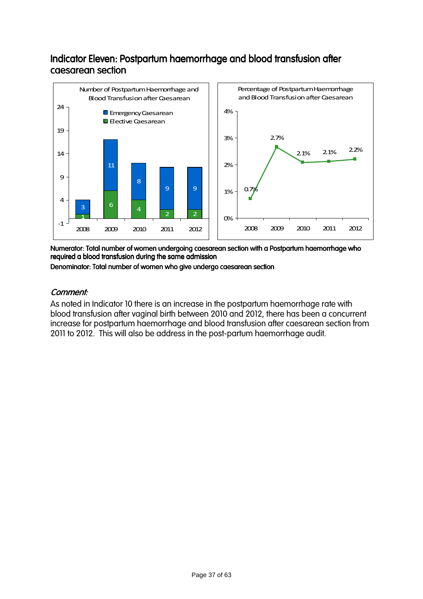### Indicator Eleven: Postpartum haemorrhage and blood transfusion after caesarean section



Numerator: Total number of women undergoing caesarean section with a Postpartum haemorrhage who required a blood transfusion during the same admission

Denominator: Total number of women who give undergo caesarean section

#### Comment: Comment:

As noted in Indicator 10 there is an increase in the postpartum haemorrhage rate with blood transfusion after vaginal birth between 2010 and 2012, there has been a concurrent increase for postpartum haemorrhage and blood transfusion after caesarean section from 2011 to 2012. This will also be address in the post-partum haemorrhage audit.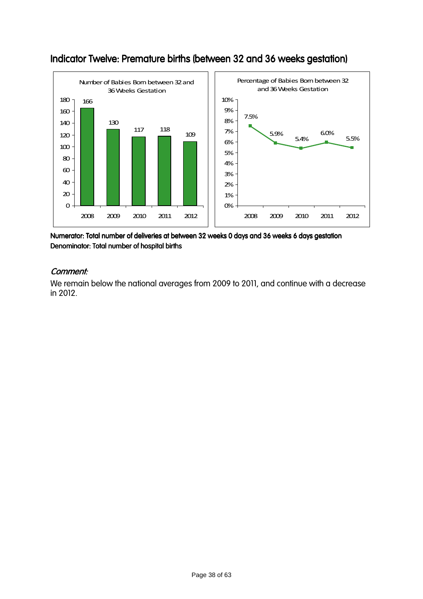

### Indicator Twelve: Premature births (between 32 and 36 weeks gestation)

Numerator: Total number of deliveries at between 32 weeks 0 days and 36 weeks 6 days gestation Denominator: Total number of hospital births

#### Comment: Comment:

We remain below the national averages from 2009 to 2011, and continue with a decrease in 2012.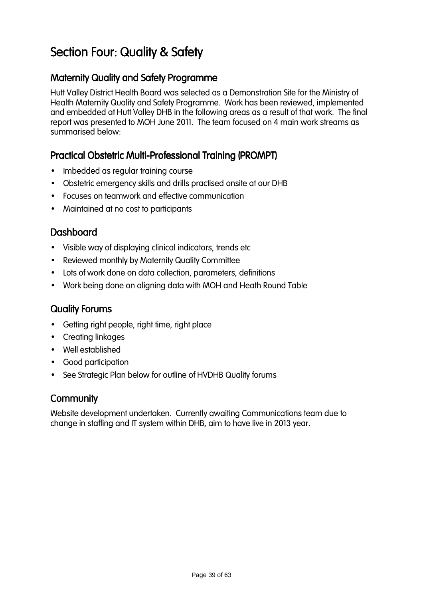# Section Four: Quality & Safety

### Maternity Quality and Safety Programme

Hutt Valley District Health Board was selected as a Demonstration Site for the Ministry of Health Maternity Quality and Safety Programme. Work has been reviewed, implemented and embedded at Hutt Valley DHB in the following areas as a result of that work. The final report was presented to MOH June 2011. The team focused on 4 main work streams as summarised below:

### Practical Obstetric Multi-Professional Training (PROMPT)

- Imbedded as regular training course
- Obstetric emergency skills and drills practised onsite at our DHB
- Focuses on teamwork and effective communication
- Maintained at no cost to participants

### Dashboard Dashboard

- Visible way of displaying clinical indicators, trends etc
- Reviewed monthly by Maternity Quality Committee
- Lots of work done on data collection, parameters, definitions
- Work being done on aligning data with MOH and Heath Round Table

### **Quality Forums**

- Getting right people, right time, right place
- Creating linkages
- Well established
- Good participation
- See Strategic Plan below for outline of HVDHB Quality forums

### **Community**

Website development undertaken. Currently awaiting Communications team due to change in staffing and IT system within DHB, aim to have live in 2013 year.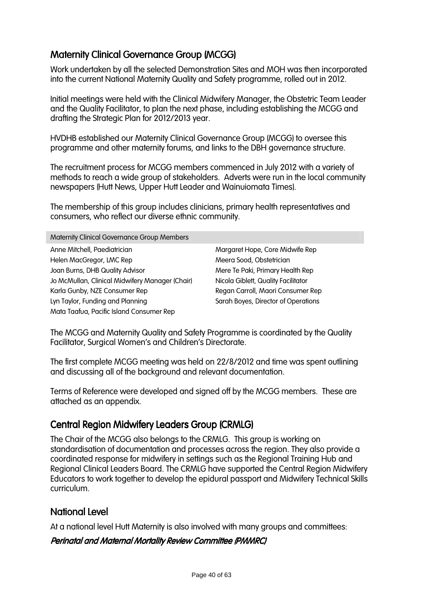### **Maternity Clinical Governance Group (MCGG)**

Work undertaken by all the selected Demonstration Sites and MOH was then incorporated into the current National Maternity Quality and Safety programme, rolled out in 2012.

Initial meetings were held with the Clinical Midwifery Manager, the Obstetric Team Leader and the Quality Facilitator, to plan the next phase, including establishing the MCGG and drafting the Strategic Plan for 2012/2013 year.

HVDHB established our Maternity Clinical Governance Group (MCGG) to oversee this programme and other maternity forums, and links to the DBH governance structure.

The recruitment process for MCGG members commenced in July 2012 with a variety of methods to reach a wide group of stakeholders. Adverts were run in the local community newspapers (Hutt News, Upper Hutt Leader and Wainuiomata Times).

The membership of this group includes clinicians, primary health representatives and consumers, who reflect our diverse ethnic community.

Maternity Clinical Governance Group Members

Anne Mitchell, Paediatrician Helen MacGregor, LMC Rep Joan Burns, DHB Quality Advisor Jo McMullan, Clinical Midwifery Manager (Chair) Karla Gunby, NZE Consumer Rep Lyn Taylor, Funding and Planning Mata Taafua, Pacific Island Consumer Rep

Margaret Hope, Core Midwife Rep Meera Sood, Obstetrician Mere Te Paki, Primary Health Rep Nicola Giblett, Quality Facilitator Regan Carroll, Maori Consumer Rep Sarah Boyes, Director of Operations

The MCGG and Maternity Quality and Safety Programme is coordinated by the Quality Facilitator, Surgical Women's and Children's Directorate.

The first complete MCGG meeting was held on 22/8/2012 and time was spent outlining and discussing all of the background and relevant documentation.

Terms of Reference were developed and signed off by the MCGG members. These are attached as an appendix.

### Central Region Midwifery Leaders Group (CRMLG)

The Chair of the MCGG also belongs to the CRMLG. This group is working on standardisation of documentation and processes across the region. They also provide a coordinated response for midwifery in settings such as the Regional Training Hub and Regional Clinical Leaders Board. The CRMLG have supported the Central Region Midwifery Educators to work together to develop the epidural passport and Midwifery Technical Skills curriculum.

### **National Level**

At a national level Hutt Maternity is also involved with many groups and committees:

#### Perinatal and Maternal Mortality Review Committee (PMMRC)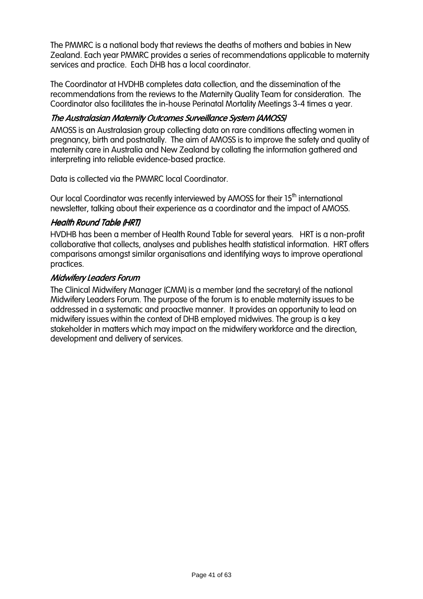The PMMRC is a national body that reviews the deaths of mothers and babies in New Zealand. Each year PMMRC provides a series of recommendations applicable to maternity services and practice. Each DHB has a local coordinator.

The Coordinator at HVDHB completes data collection, and the dissemination of the recommendations from the reviews to the Maternity Quality Team for consideration. The Coordinator also facilitates the in-house Perinatal Mortality Meetings 3-4 times a year.

#### The Australasian Maternity Outcomes Surveillance System (AMOSS)

AMOSS is an Australasian group collecting data on rare conditions affecting women in pregnancy, birth and postnatally. The aim of AMOSS is to improve the safety and quality of maternity care in Australia and New Zealand by collating the information gathered and interpreting into reliable evidence-based practice.

Data is collected via the PMMRC local Coordinator.

Our local Coordinator was recently interviewed by AMOSS for their 15<sup>th</sup> international newsletter, talking about their experience as a coordinator and the impact of AMOSS.

#### **Health Round Table (HRT)**

HVDHB has been a member of Health Round Table for several years. HRT is a non-profit collaborative that collects, analyses and publishes health statistical information. HRT offers comparisons amongst similar organisations and identifying ways to improve operational practices.

#### **Midwifery Leaders Forum**

The Clinical Midwifery Manager (CMM) is a member (and the secretary) of the national Midwifery Leaders Forum. The purpose of the forum is to enable maternity issues to be addressed in a systematic and proactive manner. It provides an opportunity to lead on midwifery issues within the context of DHB employed midwives. The group is a key stakeholder in matters which may impact on the midwifery workforce and the direction, development and delivery of services.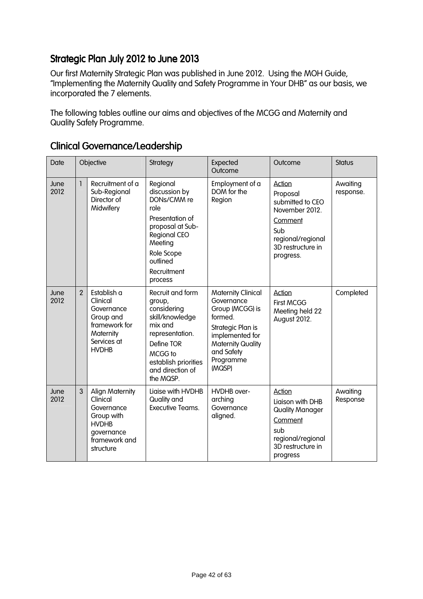### Strategic Plan July 2012 to June 2013

Our first Maternity Strategic Plan was published in June 2012. Using the MOH Guide, "Implementing the Maternity Quality and Safety Programme in Your DHB" as our basis, we incorporated the 7 elements.

The following tables outline our aims and objectives of the MCGG and Maternity and Quality Safety Programme.

| Date         | Objective      |                                                                                                                            | Strategy                                                                                                                                                                      | Expected<br>Outcome                                                                                                                                                            | Outcome                                                                                                                           | <b>Status</b>         |
|--------------|----------------|----------------------------------------------------------------------------------------------------------------------------|-------------------------------------------------------------------------------------------------------------------------------------------------------------------------------|--------------------------------------------------------------------------------------------------------------------------------------------------------------------------------|-----------------------------------------------------------------------------------------------------------------------------------|-----------------------|
| June<br>2012 | 1              | Recruitment of a<br>Sub-Regional<br>Director of<br>Midwifery                                                               | Regional<br>discussion by<br>DONs/CMM re<br>role<br>Presentation of<br>proposal at Sub-<br><b>Regional CEO</b><br>Meeting<br>Role Scope<br>outlined<br>Recruitment<br>process | Employment of a<br>DOM for the<br>Region                                                                                                                                       | Action<br>Proposal<br>submitted to CEO<br>November 2012.<br>Comment<br>Sub<br>regional/regional<br>3D restructure in<br>progress. | Awaiting<br>response. |
| June<br>2012 | $\overline{2}$ | Establish a<br>Clinical<br>Governance<br>Group and<br>framework for<br>Maternity<br>Services at<br><b>HVDHB</b>            | Recruit and form<br>group,<br>considering<br>skill/knowledge<br>mix and<br>representation.<br>Define TOR<br>MCGG to<br>establish priorities<br>and direction of<br>the MQSP.  | <b>Maternity Clinical</b><br>Governance<br>Group (MCGG) is<br>formed.<br>Strategic Plan is<br>implemented for<br><b>Maternity Quality</b><br>and Safety<br>Programme<br>(MQSP) | <b>Action</b><br><b>First MCGG</b><br>Meeting held 22<br>August 2012.                                                             | Completed             |
| June<br>2012 | 3              | <b>Align Maternity</b><br>Clinical<br>Governance<br>Group with<br><b>HVDHB</b><br>governance<br>framework and<br>structure | Liaise with HVDHB<br>Quality and<br>Executive Teams.                                                                                                                          | HVDHB over-<br>arching<br>Governance<br>aligned.                                                                                                                               | Action<br>Liaison with DHB<br><b>Quality Manager</b><br>Comment<br>sub<br>regional/regional<br>3D restructure in<br>progress      | Awaiting<br>Response  |

### Clinical Governance/Leadership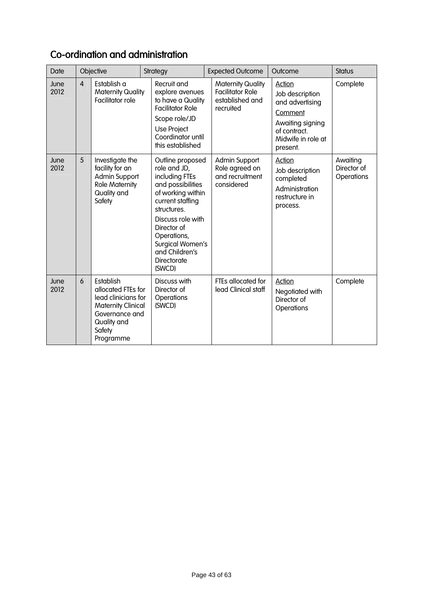| Date         |   | Objective                                                                                                                                   | Strategy                                                                                                                                                                                                                                                 | <b>Expected Outcome</b>                                                             | Outcome                                                                                                                              | <b>Status</b>                         |
|--------------|---|---------------------------------------------------------------------------------------------------------------------------------------------|----------------------------------------------------------------------------------------------------------------------------------------------------------------------------------------------------------------------------------------------------------|-------------------------------------------------------------------------------------|--------------------------------------------------------------------------------------------------------------------------------------|---------------------------------------|
| June<br>2012 | 4 | Establish a<br><b>Maternity Quality</b><br>Facilitator role                                                                                 | Recruit and<br>explore avenues<br>to have a Quality<br><b>Facilitator Role</b><br>Scope role/JD<br>Use Project<br>Coordinator until<br>this established                                                                                                  | <b>Maternity Quality</b><br><b>Facilitator Role</b><br>established and<br>recruited | <b>Action</b><br>Job description<br>and advertising<br>Comment<br>Awaiting signing<br>of contract.<br>Midwife in role at<br>present. | Complete                              |
| June<br>2012 | 5 | Investigate the<br>facility for an<br>Admin Support<br><b>Role Maternity</b><br>Quality and<br>Safety                                       | Outline proposed<br>role and JD,<br>including FTEs<br>and possibilities<br>of working within<br>current staffing<br>structures.<br>Discuss role with<br>Director of<br>Operations,<br>Surgical Women's<br>and Children's<br><b>Directorate</b><br>(SWCD) | Admin Support<br>Role agreed on<br>and recruitment<br>considered                    | Action<br>Job description<br>completed<br>Administration<br>restructure in<br>process.                                               | Awaiting<br>Director of<br>Operations |
| June<br>2012 | 6 | Establish<br>allocated FTEs for<br>lead clinicians for<br><b>Maternity Clinical</b><br>Governance and<br>Quality and<br>Safety<br>Programme | Discuss with<br>Director of<br>Operations<br>(SWCD)                                                                                                                                                                                                      | FTEs allocated for<br>lead Clinical staff                                           | Action<br>Negotiated with<br>Director of<br>Operations                                                                               | Complete                              |

## Co-ordination and administration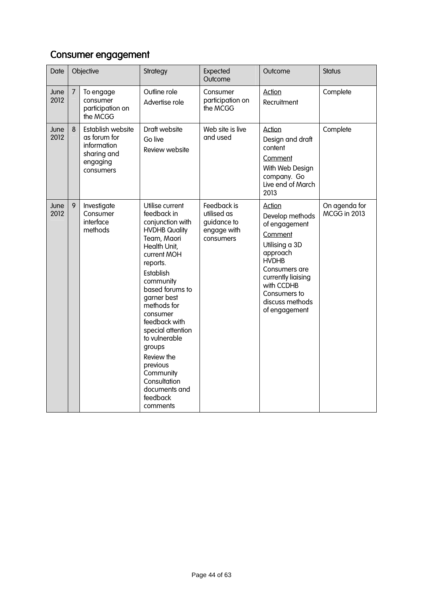## Consumer engagement

| Date         | Objective      |                                                                                          | Strategy                                                                                                                                                                                                                                                                                                                                                                                     | Expected<br>Outcome                                                   | Outcome                                                                                                                                                                                                             | <b>Status</b>                        |
|--------------|----------------|------------------------------------------------------------------------------------------|----------------------------------------------------------------------------------------------------------------------------------------------------------------------------------------------------------------------------------------------------------------------------------------------------------------------------------------------------------------------------------------------|-----------------------------------------------------------------------|---------------------------------------------------------------------------------------------------------------------------------------------------------------------------------------------------------------------|--------------------------------------|
| June<br>2012 | $\overline{7}$ | To engage<br>consumer<br>participation on<br>the MCGG                                    | Outline role<br>Advertise role                                                                                                                                                                                                                                                                                                                                                               | Consumer<br>participation on<br>the MCGG                              | <b>Action</b><br>Recruitment                                                                                                                                                                                        | Complete                             |
| June<br>2012 | 8              | Establish website<br>as forum for<br>information<br>sharing and<br>engaging<br>consumers | Draft website<br>Go live<br>Review website                                                                                                                                                                                                                                                                                                                                                   | Web site is live<br>and used                                          | <b>Action</b><br>Design and draft<br>content<br>Comment<br>With Web Design<br>company. Go<br>Live end of March<br>2013                                                                                              | Complete                             |
| June<br>2012 | 9              | Investigate<br>Consumer<br>interface<br>methods                                          | Utilise current<br>feedback in<br>conjunction with<br><b>HVDHB Quality</b><br>Team, Maori<br>Health Unit,<br>current MOH<br>reports.<br>Establish<br>community<br>based forums to<br>garner best<br>methods for<br>consumer<br>feedback with<br>special attention<br>to vulnerable<br>groups<br>Review the<br>previous<br>Community<br>Consultation<br>documents and<br>feedback<br>comments | Feedback is<br>utilised as<br>guidance to<br>engage with<br>consumers | <b>Action</b><br>Develop methods<br>of engagement<br>Comment<br>Utilising a 3D<br>approach<br><b>HVDHB</b><br>Consumers are<br>currently liaising<br>with CCDHB<br>Consumers to<br>discuss methods<br>of engagement | On agenda for<br><b>MCGG in 2013</b> |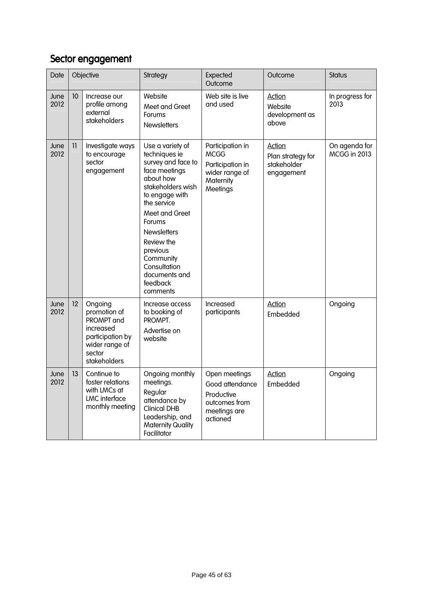## Sector engagement

| Date         | Objective |                                                                                                                    | Strategy                                                                                                                                                                                                                                                                                      | Expected<br>Outcome                                                                            | Outcome                                                         | <b>Status</b>                        |
|--------------|-----------|--------------------------------------------------------------------------------------------------------------------|-----------------------------------------------------------------------------------------------------------------------------------------------------------------------------------------------------------------------------------------------------------------------------------------------|------------------------------------------------------------------------------------------------|-----------------------------------------------------------------|--------------------------------------|
| June<br>2012 | 10        | Increase our<br>profile among<br>external<br>stakeholders                                                          | Website<br>Meet and Greet<br>Forums<br><b>Newsletters</b>                                                                                                                                                                                                                                     | Web site is live<br>and used                                                                   | <b>Action</b><br>Website<br>development as<br>above             | In progress for<br>2013              |
| June<br>2012 | 11        | Investigate ways<br>to encourage<br>sector<br>engagement                                                           | Use a variety of<br>techniques ie<br>survey and face to<br>face meetings<br>about how<br>stakeholders wish<br>to engage with<br>the service<br>Meet and Greet<br>Forums<br><b>Newsletters</b><br>Review the<br>previous<br>Community<br>Consultation<br>documents and<br>feedback<br>comments | Participation in<br><b>MCGG</b><br>Participation in<br>wider range of<br>Maternity<br>Meetings | <b>Action</b><br>Plan strategy for<br>stakeholder<br>engagement | On agenda for<br><b>MCGG in 2013</b> |
| June<br>2012 | 12        | Ongoing<br>promotion of<br>PROMPT and<br>increased<br>participation by<br>wider range of<br>sector<br>stakeholders | Increase access<br>to booking of<br>PROMPT.<br>Advertise on<br>website                                                                                                                                                                                                                        | Increased<br>participants                                                                      | <b>Action</b><br>Embedded                                       | Ongoing                              |
| June<br>2012 | 13        | Continue to<br>foster relations<br>with LMCs at<br><b>LMC</b> interface<br>monthly meeting                         | Ongoing monthly<br>meetings.<br>Regular<br>attendance by<br><b>Clinical DHB</b><br>Leadership, and<br><b>Maternity Quality</b><br>Facilitator                                                                                                                                                 | Open meetings<br>Good attendance<br>Productive<br>outcomes from<br>meetings are<br>actioned    | <b>Action</b><br>Embedded                                       | Ongoing                              |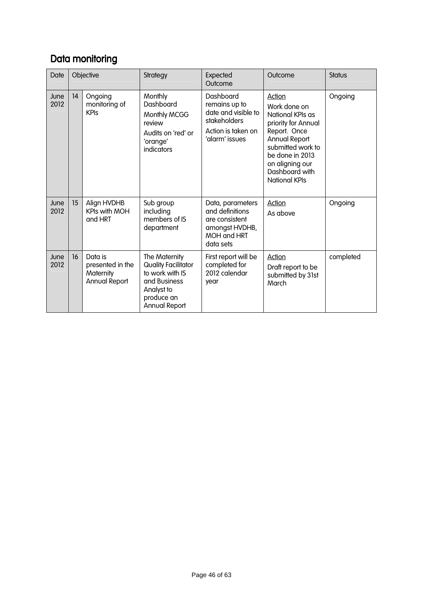## Data monitoring

| Date         | Objective |                                                           | Strategy                                                                                                                    | <b>Expected</b><br>Outcome                                                                                | Outcome                                                                                                                                                                                                        | <b>Status</b> |
|--------------|-----------|-----------------------------------------------------------|-----------------------------------------------------------------------------------------------------------------------------|-----------------------------------------------------------------------------------------------------------|----------------------------------------------------------------------------------------------------------------------------------------------------------------------------------------------------------------|---------------|
| June<br>2012 | 4         | Ongoing<br>monitoring of<br><b>KPIs</b>                   | Monthly<br>Dashboard<br>Monthly MCGG<br>review<br>Audits on 'red' or<br>'orange'<br>indicators                              | Dashboard<br>remains up to<br>date and visible to<br>stakeholders<br>Action is taken on<br>'alarm' issues | Action<br>Work done on<br>National KPIs as<br>priority for Annual<br>Report. Once<br><b>Annual Report</b><br>submitted work to<br>be done in 2013<br>on aligning our<br>Dashboard with<br><b>National KPIs</b> | Ongoing       |
| June<br>2012 | 15        | Align HVDHB<br>KPIs with MOH<br>and HRT                   | Sub group<br>including<br>members of IS<br>department                                                                       | Data, parameters<br>and definitions<br>are consistent<br>amongst HVDHB,<br>MOH and HRT<br>data sets       | Action<br>As above                                                                                                                                                                                             | Ongoing       |
| June<br>2012 | 16        | Data is<br>presented in the<br>Maternity<br>Annual Report | The Maternity<br>Quality Facilitator<br>to work with IS<br>and Business<br>Analyst to<br>produce an<br><b>Annual Report</b> | First report will be<br>completed for<br>2012 calendar<br>year                                            | <b>Action</b><br>Draft report to be<br>submitted by 31st<br>March                                                                                                                                              | completed     |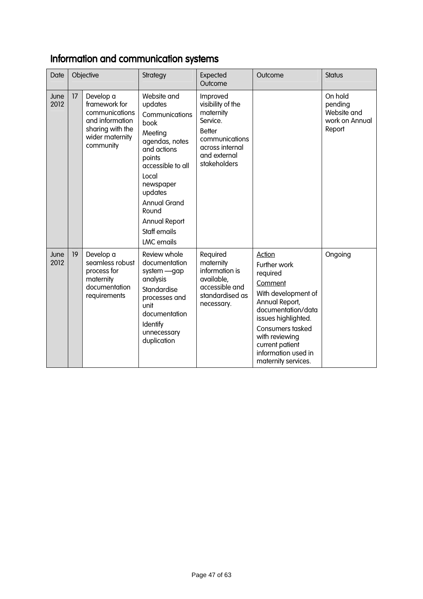## Information and communication systems

| Date         | Objective |                                                                                                                     | Strategy                                                                                                                                                                                                                                                  | Expected<br>Outcome                                                                                                                          | Outcome                                                                                                                                                                                                                                           | <b>Status</b>                                                 |
|--------------|-----------|---------------------------------------------------------------------------------------------------------------------|-----------------------------------------------------------------------------------------------------------------------------------------------------------------------------------------------------------------------------------------------------------|----------------------------------------------------------------------------------------------------------------------------------------------|---------------------------------------------------------------------------------------------------------------------------------------------------------------------------------------------------------------------------------------------------|---------------------------------------------------------------|
| June<br>2012 | 17        | Develop a<br>framework for<br>communications<br>and information<br>sharing with the<br>wider maternity<br>community | Website and<br>updates<br>Communications<br>book<br>Meeting<br>agendas, notes<br>and actions<br>points<br>accessible to all<br>Local<br>newspaper<br>updates<br><b>Annual Grand</b><br>Round<br><b>Annual Report</b><br>Staff emails<br><b>LMC</b> emails | Improved<br>visibility of the<br>maternity<br>Service.<br><b>Better</b><br>communications<br>across internal<br>and external<br>stakeholders |                                                                                                                                                                                                                                                   | On hold<br>pending<br>Website and<br>work on Annual<br>Report |
| June<br>2012 | 19        | Develop a<br>seamless robust<br>process for<br>maternity<br>documentation<br>requirements                           | Review whole<br>documentation<br>system - gap<br>analysis<br>Standardise<br>processes and<br>unit<br>documentation<br>Identify<br>unnecessary<br>duplication                                                                                              | Required<br>maternity<br>information is<br>available,<br>accessible and<br>standardised as<br>necessary.                                     | <b>Action</b><br>Further work<br>required<br>Comment<br>With development of<br>Annual Report,<br>documentation/data<br>issues highlighted.<br>Consumers tasked<br>with reviewing<br>current patient<br>information used in<br>maternity services. | Ongoing                                                       |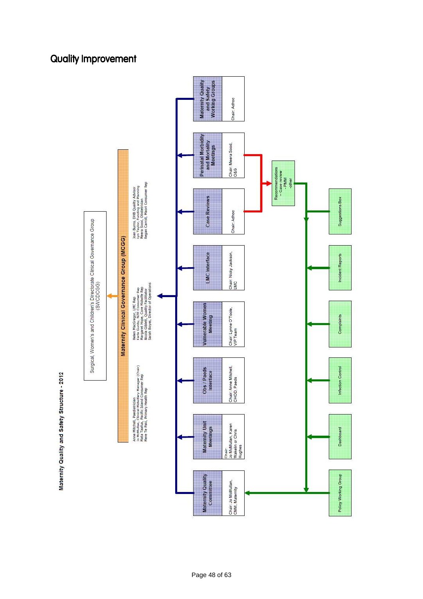

### **Quality Improvement**

Maternity Quality and Safety Structure - 2012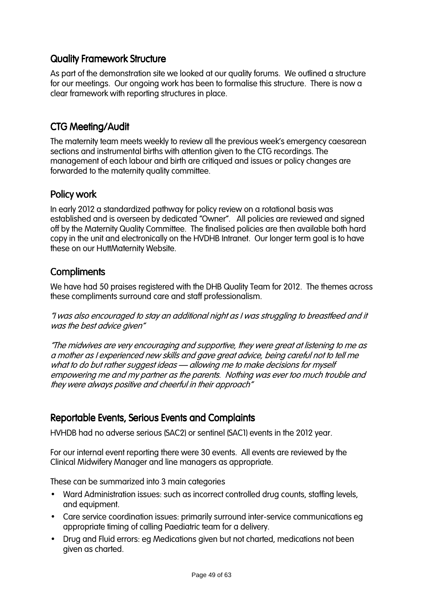### Quality Framework Structure

As part of the demonstration site we looked at our quality forums. We outlined a structure for our meetings. Our ongoing work has been to formalise this structure. There is now a clear framework with reporting structures in place.

### CTG Meeting/Audit

The maternity team meets weekly to review all the previous week's emergency caesarean sections and instrumental births with attention given to the CTG recordings. The management of each labour and birth are critiqued and issues or policy changes are forwarded to the maternity quality committee.

### Policy work

In early 2012 a standardized pathway for policy review on a rotational basis was established and is overseen by dedicated "Owner". All policies are reviewed and signed off by the Maternity Quality Committee. The finalised policies are then available both hard copy in the unit and electronically on the HVDHB Intranet. Our longer term goal is to have these on our HuttMaternity Website.

### **Compliments**

We have had 50 praises registered with the DHB Quality Team for 2012. The themes across these compliments surround care and staff professionalism.

"I was also encouraged to stay an additional night as I was struggling to breastfeed and it was the best advice given"

"The midwives are very encouraging and supportive, they were great at listening to me as a mother as I experienced new skills and gave great advice, being careful not to tell me what to do but rather suggest ideas – allowing me to make decisions for myself empowering me and my partner as the parents. Nothing was ever too much trouble and they were always positive and cheerful in their approach"

### Reportable Events, Serious Events and Complaints

HVHDB had no adverse serious (SAC2) or sentinel (SAC1) events in the 2012 year.

For our internal event reporting there were 30 events. All events are reviewed by the Clinical Midwifery Manager and line managers as appropriate.

These can be summarized into 3 main categories

- Ward Administration issues: such as incorrect controlled drug counts, staffing levels, and equipment.
- Care service coordination issues: primarily surround inter-service communications eg appropriate timing of calling Paediatric team for a delivery.
- Drug and Fluid errors: eg Medications given but not charted, medications not been given as charted.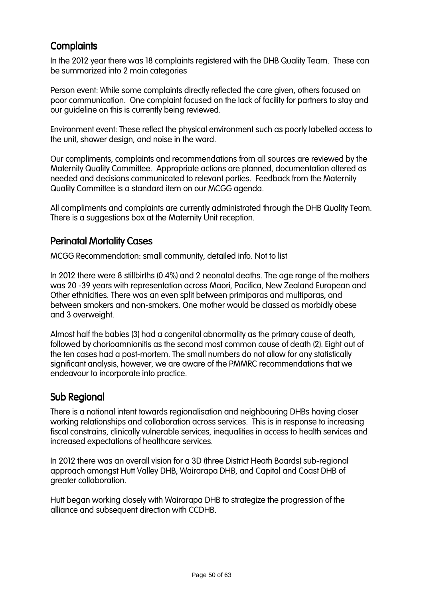### **Complaints**

In the 2012 year there was 18 complaints registered with the DHB Quality Team. These can be summarized into 2 main categories

Person event: While some complaints directly reflected the care given, others focused on poor communication. One complaint focused on the lack of facility for partners to stay and our guideline on this is currently being reviewed.

Environment event: These reflect the physical environment such as poorly labelled access to the unit, shower design, and noise in the ward.

Our compliments, complaints and recommendations from all sources are reviewed by the Maternity Quality Committee. Appropriate actions are planned, documentation altered as needed and decisions communicated to relevant parties. Feedback from the Maternity Quality Committee is a standard item on our MCGG agenda.

All compliments and complaints are currently administrated through the DHB Quality Team. There is a suggestions box at the Maternity Unit reception.

### **Perinatal Mortality Cases**

MCGG Recommendation: small community, detailed info. Not to list

In 2012 there were 8 stillbirths (0.4%) and 2 neonatal deaths. The age range of the mothers was 20 -39 years with representation across Maori, Pacifica, New Zealand European and Other ethnicities. There was an even split between primiparas and multiparas, and between smokers and non-smokers. One mother would be classed as morbidly obese and 3 overweight.

Almost half the babies (3) had a congenital abnormality as the primary cause of death, followed by chorioamnionitis as the second most common cause of death (2). Eight out of the ten cases had a post-mortem. The small numbers do not allow for any statistically significant analysis, however, we are aware of the PMMRC recommendations that we endeavour to incorporate into practice.

### Sub Regional

There is a national intent towards regionalisation and neighbouring DHBs having closer working relationships and collaboration across services. This is in response to increasing fiscal constrains, clinically vulnerable services, inequalities in access to health services and increased expectations of healthcare services.

In 2012 there was an overall vision for a 3D (three District Heath Boards) sub-regional approach amongst Hutt Valley DHB, Wairarapa DHB, and Capital and Coast DHB of greater collaboration.

Hutt began working closely with Wairarapa DHB to strategize the progression of the alliance and subsequent direction with CCDHB.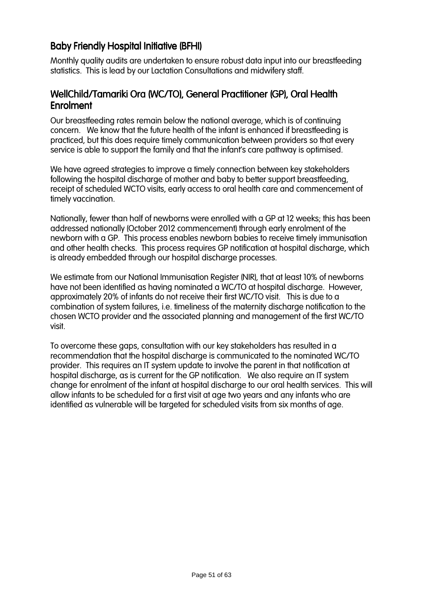### Baby Friendly Hospital Initiative (BFHI)

Monthly quality audits are undertaken to ensure robust data input into our breastfeeding statistics. This is lead by our Lactation Consultations and midwifery staff.

### WellChild/Tamariki Ora (WC/TO), General Practitioner (GP), Oral Health Enrolment

Our breastfeeding rates remain below the national average, which is of continuing concern. We know that the future health of the infant is enhanced if breastfeeding is practiced, but this does require timely communication between providers so that every service is able to support the family and that the infant's care pathway is optimised.

We have agreed strategies to improve a timely connection between key stakeholders following the hospital discharge of mother and baby to better support breastfeeding, receipt of scheduled WCTO visits, early access to oral health care and commencement of timely vaccination.

Nationally, fewer than half of newborns were enrolled with a GP at 12 weeks; this has been addressed nationally (October 2012 commencement) through early enrolment of the newborn with a GP. This process enables newborn babies to receive timely immunisation and other health checks. This process requires GP notification at hospital discharge, which is already embedded through our hospital discharge processes.

We estimate from our National Immunisation Register (NIR), that at least 10% of newborns have not been identified as having nominated a WC/TO at hospital discharge. However, approximately 20% of infants do not receive their first WC/TO visit. This is due to a combination of system failures, i.e. timeliness of the maternity discharge notification to the chosen WCTO provider and the associated planning and management of the first WC/TO visit.

To overcome these gaps, consultation with our key stakeholders has resulted in a recommendation that the hospital discharge is communicated to the nominated WC/TO provider. This requires an IT system update to involve the parent in that notification at hospital discharge, as is current for the GP notification. We also require an IT system change for enrolment of the infant at hospital discharge to our oral health services. This will allow infants to be scheduled for a first visit at age two years and any infants who are identified as vulnerable will be targeted for scheduled visits from six months of age.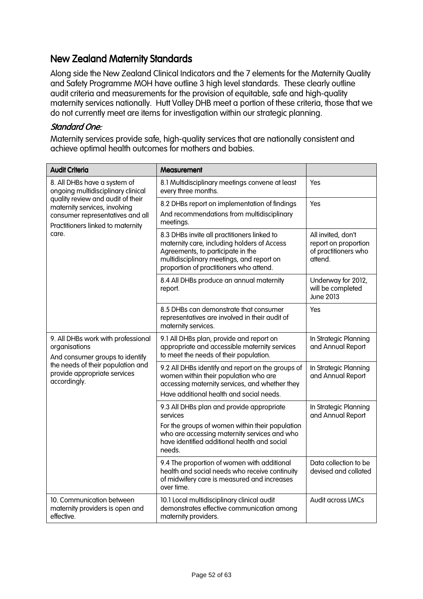### New Zealand Maternity Standards

Along side the New Zealand Clinical Indicators and the 7 elements for the Maternity Quality and Safety Programme MOH have outline 3 high level standards. These clearly outline audit criteria and measurements for the provision of equitable, safe and high-quality maternity services nationally. Hutt Valley DHB meet a portion of these criteria, those that we do not currently meet are items for investigation within our strategic planning.

#### Standard One:

Maternity services provide safe, high-quality services that are nationally consistent and achieve optimal health outcomes for mothers and babies.

| <b>Audit Criteria</b>                                                                                                                                                                                                      | Measurement                                                                                                                                                                                                             |                                                                               |
|----------------------------------------------------------------------------------------------------------------------------------------------------------------------------------------------------------------------------|-------------------------------------------------------------------------------------------------------------------------------------------------------------------------------------------------------------------------|-------------------------------------------------------------------------------|
| 8. All DHBs have a system of<br>ongoing multidisciplinary clinical<br>quality review and audit of their<br>maternity services, involving<br>consumer representatives and all<br>Practitioners linked to maternity<br>care. | 8.1 Multidisciplinary meetings convene at least<br>every three months.                                                                                                                                                  | Yes                                                                           |
|                                                                                                                                                                                                                            | 8.2 DHBs report on implementation of findings<br>And recommendations from multidisciplinary<br>meetings.                                                                                                                | Yes                                                                           |
|                                                                                                                                                                                                                            | 8.3 DHBs invite all practitioners linked to<br>maternity care, including holders of Access<br>Agreements, to participate in the<br>multidisciplinary meetings, and report on<br>proportion of practitioners who attend. | All invited, don't<br>report on proportion<br>of practitioners who<br>attend. |
|                                                                                                                                                                                                                            | 8.4 All DHBs produce an annual maternity<br>report.                                                                                                                                                                     | Underway for 2012,<br>will be completed<br><b>June 2013</b>                   |
|                                                                                                                                                                                                                            | 8.5 DHBs can demonstrate that consumer<br>representatives are involved in their audit of<br>maternity services.                                                                                                         | Yes                                                                           |
| 9. All DHBs work with professional<br>organisations<br>And consumer groups to identify                                                                                                                                     | 9.1 All DHBs plan, provide and report on<br>appropriate and accessible maternity services<br>to meet the needs of their population.                                                                                     | In Strategic Planning<br>and Annual Report                                    |
| the needs of their population and<br>provide appropriate services<br>accordingly.                                                                                                                                          | 9.2 All DHBs identify and report on the groups of<br>women within their population who are<br>accessing maternity services, and whether they<br>Have additional health and social needs.                                | In Strategic Planning<br>and Annual Report                                    |
|                                                                                                                                                                                                                            | 9.3 All DHBs plan and provide appropriate<br>services<br>For the groups of women within their population<br>who are accessing maternity services and who<br>have identified additional health and social<br>needs.      | In Strategic Planning<br>and Annual Report                                    |
|                                                                                                                                                                                                                            | 9.4 The proportion of women with additional<br>health and social needs who receive continuity<br>of midwifery care is measured and increases<br>over time.                                                              | Data collection to be<br>devised and collated                                 |
| 10. Communication between<br>maternity providers is open and<br>effective.                                                                                                                                                 | 10.1 Local multidisciplinary clinical audit<br>demonstrates effective communication among<br>maternity providers.                                                                                                       | Audit across LMCs                                                             |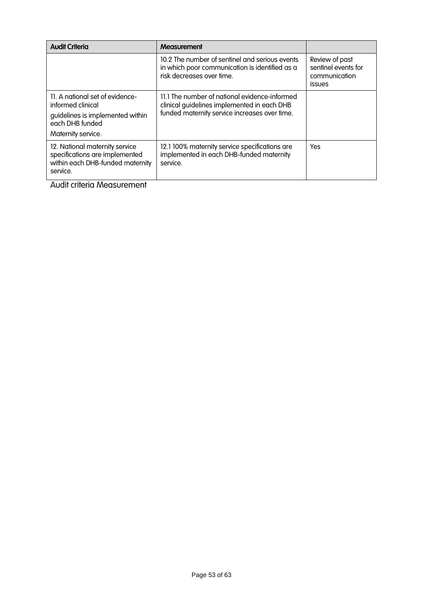| <b>Audit Criteria</b>                                                                                                             | Measurement                                                                                                                                   |                                                                         |
|-----------------------------------------------------------------------------------------------------------------------------------|-----------------------------------------------------------------------------------------------------------------------------------------------|-------------------------------------------------------------------------|
|                                                                                                                                   | 10.2 The number of sentinel and serious events<br>in which poor communication is identified as a<br>risk decreases over time.                 | Review of past<br>sentinel events for<br>communication<br><b>issues</b> |
| 11. A national set of evidence-<br>informed clinical<br>quidelines is implemented within<br>each DHB funded<br>Maternity service. | 11.1 The number of national evidence-informed<br>clinical guidelines implemented in each DHB<br>funded maternity service increases over time. |                                                                         |
| 12. National maternity service<br>specifications are implemented<br>within each DHB-funded maternity<br>service.                  | 12.1 100% maternity service specifications are<br>implemented in each DHB-funded maternity<br>service.                                        | Yes                                                                     |

Audit criteria Measurement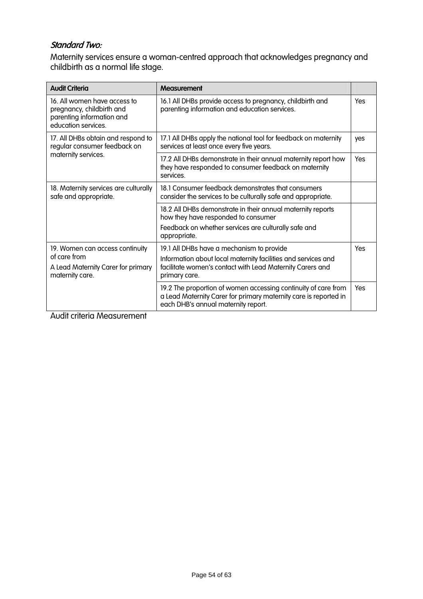### Standard Two:

Maternity services ensure a woman-centred approach that acknowledges pregnancy and childbirth as a normal life stage.

| <b>Audit Criteria</b>                                                                                         | Measurement                                                                                                                                                                              |     |
|---------------------------------------------------------------------------------------------------------------|------------------------------------------------------------------------------------------------------------------------------------------------------------------------------------------|-----|
| 16. All women have access to<br>pregnancy, childbirth and<br>parenting information and<br>education services. | 16.1 All DHBs provide access to pregnancy, childbirth and<br>parenting information and education services.                                                                               |     |
| 17. All DHBs obtain and respond to<br>regular consumer feedback on                                            | 17.1 All DHBs apply the national tool for feedback on maternity<br>services at least once every five years.                                                                              |     |
| maternity services.                                                                                           | 17.2 All DHBs demonstrate in their annual maternity report how<br>they have responded to consumer feedback on maternity<br>services.                                                     | Yes |
| 18. Maternity services are culturally<br>safe and appropriate.                                                | 18.1 Consumer feedback demonstrates that consumers<br>consider the services to be culturally safe and appropriate.                                                                       |     |
|                                                                                                               | 18.2 All DHBs demonstrate in their annual maternity reports<br>how they have responded to consumer<br>Feedback on whether services are culturally safe and<br>appropriate.               |     |
| 19. Women can access continuity<br>of care from<br>A Lead Maternity Carer for primary<br>maternity care.      | 19.1 All DHBs have a mechanism to provide<br>Information about local maternity facilities and services and<br>facilitate women's contact with Lead Maternity Carers and<br>primary care. |     |
|                                                                                                               | 19.2 The proportion of women accessing continuity of care from<br>a Lead Maternity Carer for primary maternity care is reported in<br>each DHB's annual maternity report.                | Yes |

Audit criteria Measurement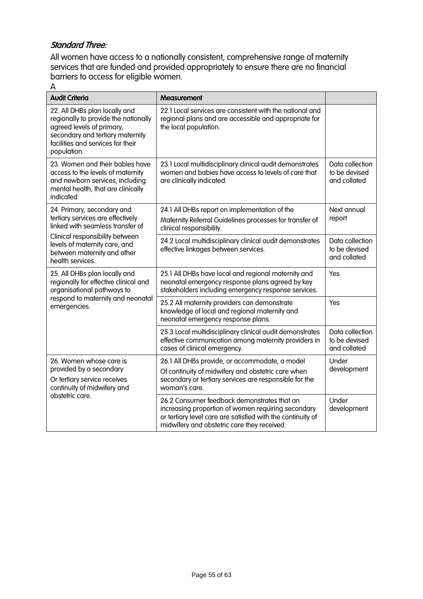### Standard Three:

All women have access to a nationally consistent, comprehensive range of maternity services that are funded and provided appropriately to ensure there are no financial barriers to access for eligible women.

A

| <b>Audit Criteria</b>                                                                                                                                                                      | <b>Measurement</b>                                                                                                                                                                                              |                                                  |
|--------------------------------------------------------------------------------------------------------------------------------------------------------------------------------------------|-----------------------------------------------------------------------------------------------------------------------------------------------------------------------------------------------------------------|--------------------------------------------------|
| 22. All DHBs plan locally and<br>regionally to provide the nationally<br>agreed levels of primary,<br>secondary and tertiary maternity<br>facilities and services for their<br>population. | 22.1 Local services are consistent with the national and<br>regional plans and are accessible and appropriate for<br>the local population.                                                                      |                                                  |
| 23. Women and their babies have<br>access to the levels of maternity<br>and newborn services, including<br>mental health, that are clinically<br>indicated.                                | 23.1 Local multidisciplinary clinical audit demonstrates<br>women and babies have access to levels of care that<br>are clinically indicated.                                                                    | Data collection<br>to be devised<br>and collated |
| 24. Primary, secondary and<br>tertiary services are effectively<br>linked with seamless transfer of                                                                                        | 24.1 All DHBs report on implementation of the<br>Next annual<br>report<br>Maternity Referral Guidelines processes for transfer of<br>clinical responsibility.                                                   |                                                  |
| Clinical responsibility between<br>levels of maternity care, and<br>between maternity and other<br>health services.                                                                        | 24.2 Local multidisciplinary clinical audit demonstrates<br>effective linkages between services.                                                                                                                | Data collection<br>to be devised<br>and collated |
| 25. All DHBs plan locally and<br>regionally for effective clinical and<br>organisational pathways to                                                                                       | 25.1 All DHBs have local and regional maternity and<br>neonatal emergency response plans agreed by key<br>stakeholders including emergency response services.                                                   | Yes                                              |
| respond to maternity and neonatal<br>emergencies.                                                                                                                                          | 25.2 All maternity providers can demonstrate<br>knowledge of local and regional maternity and<br>neonatal emergency response plans.                                                                             | Yes                                              |
|                                                                                                                                                                                            | 25.3 Local multidisciplinary clinical audit demonstrates<br>effective communication among maternity providers in<br>cases of clinical emergency.                                                                | Data collection<br>to be devised<br>and collated |
| 26. Women whose care is<br>provided by a secondary<br>Or tertiary service receives<br>continuity of midwifery and                                                                          | 26.1 All DHBs provide, or accommodate, a model<br>Of continuity of midwifery and obstetric care when<br>secondary or tertiary services are responsible for the<br>woman's care.                                 | Under<br>development                             |
| obstetric care.                                                                                                                                                                            | 26.2 Consumer feedback demonstrates that an<br>increasing proportion of women requiring secondary<br>or tertiary level care are satisfied with the continuity of<br>midwifery and obstetric care they received. | Under<br>development                             |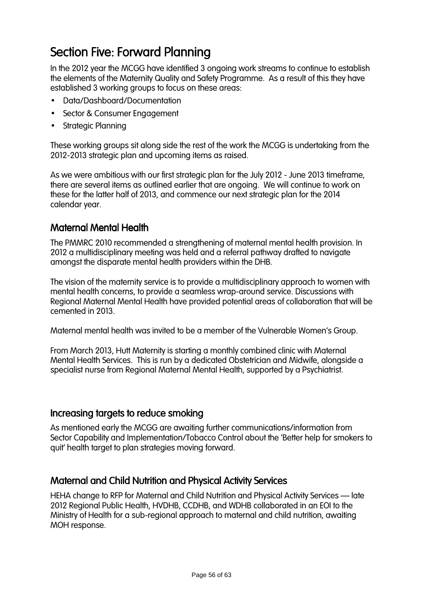# Section Five: Forward Planning

In the 2012 year the MCGG have identified 3 ongoing work streams to continue to establish the elements of the Maternity Quality and Safety Programme. As a result of this they have established 3 working groups to focus on these areas:

- Data/Dashboard/Documentation
- Sector & Consumer Engagement
- Strategic Planning

These working groups sit along side the rest of the work the MCGG is undertaking from the 2012-2013 strategic plan and upcoming items as raised.

As we were ambitious with our first strategic plan for the July 2012 - June 2013 timeframe, there are several items as outlined earlier that are ongoing. We will continue to work on these for the latter half of 2013, and commence our next strategic plan for the 2014 calendar year.

### **Maternal Mental Health**

The PMMRC 2010 recommended a strengthening of maternal mental health provision. In 2012 a multidisciplinary meeting was held and a referral pathway drafted to navigate amongst the disparate mental health providers within the DHB.

The vision of the maternity service is to provide a multidisciplinary approach to women with mental health concerns, to provide a seamless wrap-around service. Discussions with Regional Maternal Mental Health have provided potential areas of collaboration that will be cemented in 2013.

Maternal mental health was invited to be a member of the Vulnerable Women's Group.

From March 2013, Hutt Maternity is starting a monthly combined clinic with Maternal Mental Health Services. This is run by a dedicated Obstetrician and Midwife, alongside a specialist nurse from Regional Maternal Mental Health, supported by a Psychiatrist.

### Increasing targets to reduce smoking

As mentioned early the MCGG are awaiting further communications/information from Sector Capability and Implementation/Tobacco Control about the 'Better help for smokers to quit' health target to plan strategies moving forward.

### Maternal and Child Nutrition and Physical Activity Services

HEHA change to RFP for Maternal and Child Nutrition and Physical Activity Services – late 2012 Regional Public Health, HVDHB, CCDHB, and WDHB collaborated in an EOI to the Ministry of Health for a sub-regional approach to maternal and child nutrition, awaiting MOH response.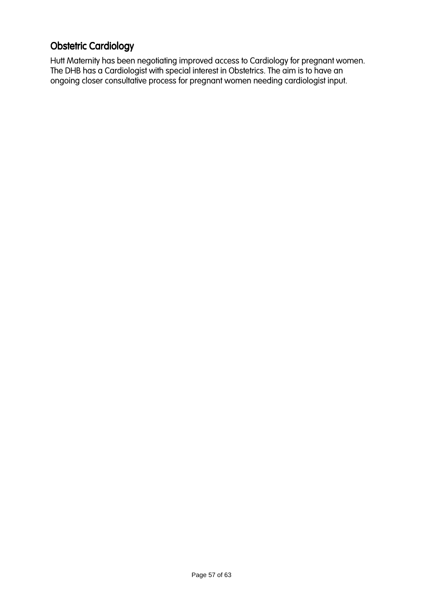## **Obstetric Cardiology**

Hutt Maternity has been negotiating improved access to Cardiology for pregnant women. The DHB has a Cardiologist with special interest in Obstetrics. The aim is to have an ongoing closer consultative process for pregnant women needing cardiologist input.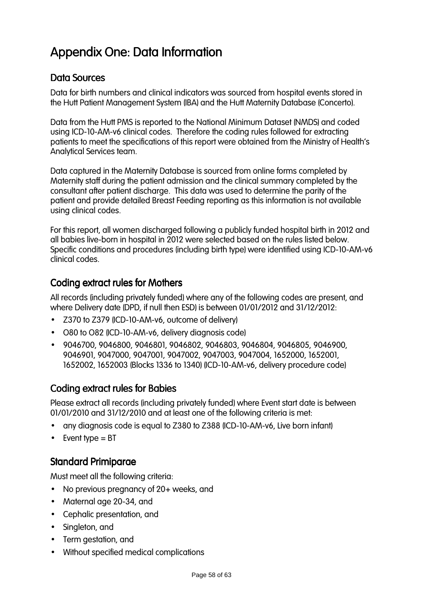# Appendix One: Data Information

### Data Sources

Data for birth numbers and clinical indicators was sourced from hospital events stored in the Hutt Patient Management System (IBA) and the Hutt Maternity Database (Concerto).

Data from the Hutt PMS is reported to the National Minimum Dataset (NMDS) and coded using ICD-10-AM-v6 clinical codes. Therefore the coding rules followed for extracting patients to meet the specifications of this report were obtained from the Ministry of Health's Analytical Services team.

Data captured in the Maternity Database is sourced from online forms completed by Maternity staff during the patient admission and the clinical summary completed by the consultant after patient discharge. This data was used to determine the parity of the patient and provide detailed Breast Feeding reporting as this information is not available using clinical codes.

For this report, all women discharged following a publicly funded hospital birth in 2012 and all babies live-born in hospital in 2012 were selected based on the rules listed below. Specific conditions and procedures (including birth type) were identified using ICD-10-AM-v6 clinical codes.

### Coding extract rules for Mothers

All records (including privately funded) where any of the following codes are present, and where Delivery date (DPD, if null then ESD) is between 01/01/2012 and 31/12/2012:

- Z370 to Z379 (ICD-10-AM-v6, outcome of delivery)
- O80 to O82 (ICD-10-AM-v6, delivery diagnosis code)
- 9046700, 9046800, 9046801, 9046802, 9046803, 9046804, 9046805, 9046900, 9046901, 9047000, 9047001, 9047002, 9047003, 9047004, 1652000, 1652001, 1652002, 1652003 (Blocks 1336 to 1340) (ICD-10-AM-v6, delivery procedure code)

### Coding extract rules for Babies

Please extract all records (including privately funded) where Event start date is between 01/01/2010 and 31/12/2010 and at least one of the following criteria is met:

- any diagnosis code is equal to Z380 to Z388 (ICD-10-AM-v6, Live born infant)
- $\bullet$  Event type = BT

### **Standard Primiparae**

Must meet all the following criteria:

- No previous pregnancy of 20+ weeks, and
- Maternal age 20-34, and
- Cephalic presentation, and
- Singleton, and
- Term gestation, and
- Without specified medical complications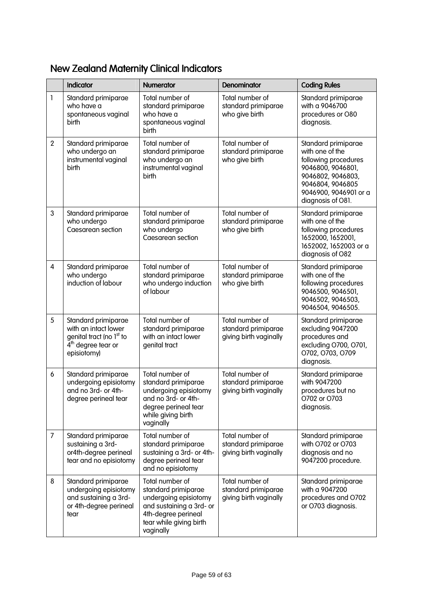|                | Indicator                                                                                                                  | <b>Numerator</b>                                                                                                                                           | <b>Denominator</b>                                               | <b>Coding Rules</b>                                                                                                                                                        |
|----------------|----------------------------------------------------------------------------------------------------------------------------|------------------------------------------------------------------------------------------------------------------------------------------------------------|------------------------------------------------------------------|----------------------------------------------------------------------------------------------------------------------------------------------------------------------------|
| $\mathbf{I}$   | Standard primiparae<br>who have a<br>spontaneous vaginal<br>birth                                                          | Total number of<br>standard primiparae<br>who have a<br>spontaneous vaginal<br>birth                                                                       | Total number of<br>standard primiparae<br>who give birth         | Standard primiparae<br>with a 9046700<br>procedures or O80<br>diagnosis.                                                                                                   |
| $\overline{2}$ | Standard primiparae<br>who undergo an<br>instrumental vaginal<br>birth                                                     | Total number of<br>standard primiparae<br>who undergo an<br>instrumental vaginal<br>birth                                                                  | Total number of<br>standard primiparae<br>who give birth         | Standard primiparae<br>with one of the<br>following procedures<br>9046800, 9046801,<br>9046802, 9046803,<br>9046804, 9046805<br>9046900, 9046901 or a<br>diagnosis of O81. |
| $\mathbf{3}$   | Standard primiparae<br>who undergo<br>Caesarean section                                                                    | Total number of<br>standard primiparae<br>who undergo<br>Caesarean section                                                                                 | Total number of<br>standard primiparae<br>who give birth         | Standard primiparae<br>with one of the<br>following procedures<br>1652000, 1652001,<br>1652002, 1652003 or a<br>diagnosis of O82                                           |
| $\overline{4}$ | Standard primiparae<br>who undergo<br>induction of labour                                                                  | Total number of<br>standard primiparae<br>who undergo induction<br>of labour                                                                               | Total number of<br>standard primiparae<br>who give birth         | Standard primiparae<br>with one of the<br>following procedures<br>9046500, 9046501,<br>9046502, 9046503,<br>9046504, 9046505.                                              |
| 5              | Standard primiparae<br>with an intact lower<br>genital tract (no 1 <sup>st</sup> to<br>$4th$ degree tear or<br>episiotomy) | Total number of<br>standard primiparae<br>with an intact lower<br>genital tract                                                                            | Total number of<br>standard primiparae<br>giving birth vaginally | Standard primiparae<br>excluding 9047200<br>procedures and<br>excluding O700, O701,<br>0702, 0703, 0709<br>diagnosis.                                                      |
| 6              | Standard primiparae<br>undergoing episiotomy<br>and no 3rd- or 4th-<br>degree perineal tear                                | Total number of<br>standard primiparae<br>undergoing episiotomy<br>and no 3rd- or 4th-<br>degree perineal tear<br>while giving birth<br>vaginally          | Total number of<br>standard primiparae<br>giving birth vaginally | Standard primiparae<br>with 9047200<br>procedures but no<br>0702 or 0703<br>diagnosis.                                                                                     |
| $\overline{7}$ | Standard primiparae<br>sustaining a 3rd-<br>or4th-degree perineal<br>tear and no episiotomy                                | Total number of<br>standard primiparae<br>sustaining a 3rd- or 4th-<br>degree perineal tear<br>and no episiotomy                                           | Total number of<br>standard primiparae<br>giving birth vaginally | Standard primiparae<br>with O702 or O703<br>diagnosis and no<br>9047200 procedure.                                                                                         |
| 8              | Standard primiparae<br>undergoing episiotomy<br>and sustaining a 3rd-<br>or 4th-degree perineal<br>tear                    | Total number of<br>standard primiparae<br>undergoing episiotomy<br>and sustaining a 3rd- or<br>4th-degree perineal<br>tear while giving birth<br>vaginally | Total number of<br>standard primiparae<br>giving birth vaginally | Standard primiparae<br>with a 9047200<br>procedures and O702<br>or O703 diagnosis.                                                                                         |

## New Zealand Maternity Clinical Indicators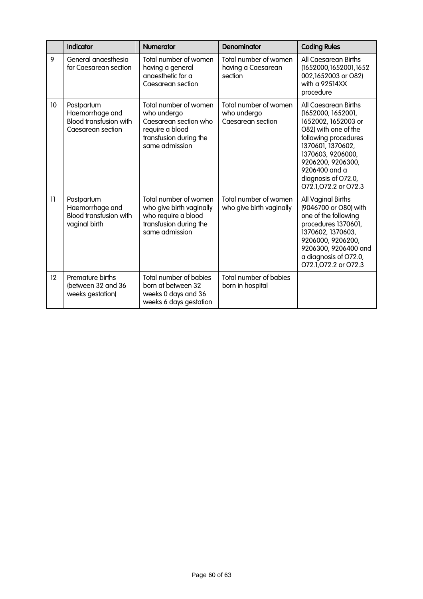|              | <b>Indicator</b>                                                                    | <b>Numerator</b>                                                                                                             | Denominator                                               | <b>Coding Rules</b>                                                                                                                                                                                                                              |
|--------------|-------------------------------------------------------------------------------------|------------------------------------------------------------------------------------------------------------------------------|-----------------------------------------------------------|--------------------------------------------------------------------------------------------------------------------------------------------------------------------------------------------------------------------------------------------------|
| 9            | General anaesthesia<br>for Caesarean section                                        | Total number of women<br>having a general<br>anaesthetic for a<br>Caesarean section                                          | Total number of women<br>having a Caesarean<br>section    | All Caesarean Births<br>(1652000,1652001,1652<br>002,1652003 or O82)<br>with a 92514XX<br>procedure                                                                                                                                              |
| 10           | Postpartum<br>Haemorrhage and<br><b>Blood transfusion with</b><br>Caesarean section | Total number of women<br>who undergo<br>Caesarean section who<br>require a blood<br>transfusion during the<br>same admission | Total number of women<br>who undergo<br>Caesarean section | All Caesarean Births<br>(1652000, 1652001,<br>1652002, 1652003 or<br>O82) with one of the<br>following procedures<br>1370601, 1370602,<br>1370603, 9206000,<br>9206200, 9206300,<br>9206400 and a<br>diagnosis of O72.0,<br>072.1,072.2 or 072.3 |
| $\mathbf{1}$ | Postpartum<br>Haemorrhage and<br><b>Blood transfusion with</b><br>vaginal birth     | Total number of women<br>who give birth vaginally<br>who require a blood<br>transfusion during the<br>same admission         | Total number of women<br>who give birth vaginally         | All Vaginal Births<br>(9046700 or O80) with<br>one of the following<br>procedures 1370601,<br>1370602, 1370603,<br>9206000, 9206200,<br>9206300, 9206400 and<br>a diagnosis of O72.0,<br>O72.1, O72.2 or O72.3                                   |
| 12           | Premature births<br>(between 32 and 36<br>weeks gestation)                          | <b>Total number of babies</b><br>born at between 32<br>weeks 0 days and 36<br>weeks 6 days gestation                         | <b>Total number of babies</b><br>born in hospital         |                                                                                                                                                                                                                                                  |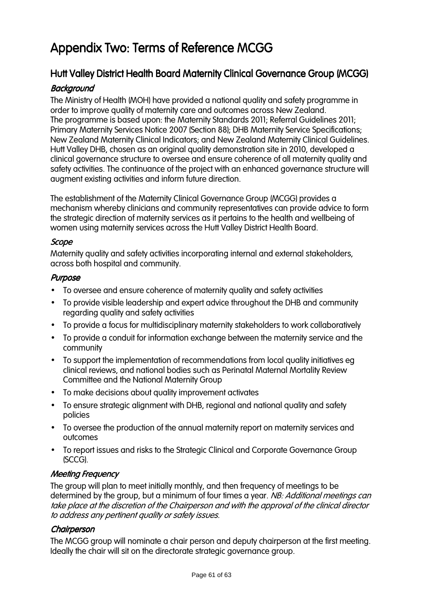# Appendix Two: Terms of Reference MCGG

## Hutt Valley District Health Board Maternity Clinical Governance Group (MCGG)

### **Background**

The Ministry of Health (MOH) have provided a national quality and safety programme in order to improve quality of maternity care and outcomes across New Zealand. The programme is based upon: the Maternity Standards 2011; Referral Guidelines 2011; Primary Maternity Services Notice 2007 (Section 88); DHB Maternity Service Specifications; New Zealand Maternity Clinical Indicators; and New Zealand Maternity Clinical Guidelines. Hutt Valley DHB, chosen as an original quality demonstration site in 2010, developed a clinical governance structure to oversee and ensure coherence of all maternity quality and safety activities. The continuance of the project with an enhanced governance structure will augment existing activities and inform future direction.

The establishment of the Maternity Clinical Governance Group (MCGG) provides a mechanism whereby clinicians and community representatives can provide advice to form the strategic direction of maternity services as it pertains to the health and wellbeing of women using maternity services across the Hutt Valley District Health Board.

#### Scope

Maternity quality and safety activities incorporating internal and external stakeholders, across both hospital and community.

#### Purpose

- To oversee and ensure coherence of maternity quality and safety activities
- To provide visible leadership and expert advice throughout the DHB and community regarding quality and safety activities
- To provide a focus for multidisciplinary maternity stakeholders to work collaboratively
- To provide a conduit for information exchange between the maternity service and the community
- To support the implementation of recommendations from local quality initiatives eg clinical reviews, and national bodies such as Perinatal Maternal Mortality Review Committee and the National Maternity Group
- To make decisions about quality improvement activates
- To ensure strategic alignment with DHB, regional and national quality and safety policies
- To oversee the production of the annual maternity report on maternity services and outcomes
- To report issues and risks to the Strategic Clinical and Corporate Governance Group (SCCG).

### **Meeting Frequency**

The group will plan to meet initially monthly, and then frequency of meetings to be determined by the group, but a minimum of four times a year. NB: Additional meetings can take place at the discretion of the Chairperson and with the approval of the clinical director to address any pertinent quality or safety issues.

#### **Chairperson**

The MCGG group will nominate a chair person and deputy chairperson at the first meeting. Ideally the chair will sit on the directorate strategic governance group.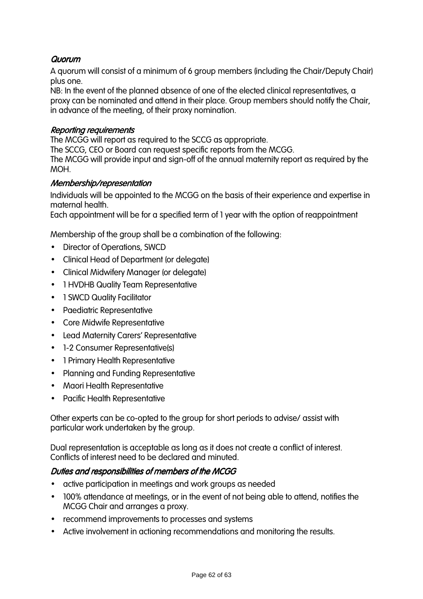#### **Quorum**

A quorum will consist of a minimum of 6 group members (including the Chair/Deputy Chair) plus one.

NB: In the event of the planned absence of one of the elected clinical representatives, a proxy can be nominated and attend in their place. Group members should notify the Chair, in advance of the meeting, of their proxy nomination.

#### **Reporting requirements**

The MCGG will report as required to the SCCG as appropriate.

The SCCG, CEO or Board can request specific reports from the MCGG.

The MCGG will provide input and sign-off of the annual maternity report as required by the MOH.

#### Membership/representation

Individuals will be appointed to the MCGG on the basis of their experience and expertise in maternal health.

Each appointment will be for a specified term of 1 year with the option of reappointment

Membership of the group shall be a combination of the following:

- Director of Operations, SWCD
- Clinical Head of Department (or delegate)
- Clinical Midwifery Manager (or delegate)
- 1 HVDHB Quality Team Representative
- 1 SWCD Quality Facilitator
- Paediatric Representative
- Core Midwife Representative
- Lead Maternity Carers' Representative
- 1-2 Consumer Representative(s)
- 1 Primary Health Representative
- Planning and Funding Representative
- Maori Health Representative
- Pacific Health Representative

Other experts can be co-opted to the group for short periods to advise/ assist with particular work undertaken by the group.

Dual representation is acceptable as long as it does not create a conflict of interest. Conflicts of interest need to be declared and minuted.

#### Duties and responsibilities of members of the MCGG

- active participation in meetings and work groups as needed
- 100% attendance at meetings, or in the event of not being able to attend, notifies the MCGG Chair and arranges a proxy.
- recommend improvements to processes and systems
- Active involvement in actioning recommendations and monitoring the results.